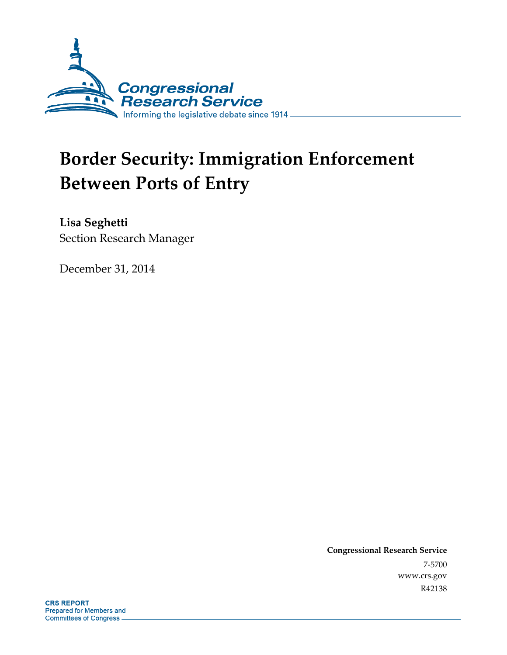

# **Border Security: Immigration Enforcement Between Ports of Entry**

**Lisa Seghetti**  Section Research Manager

December 31, 2014

**Congressional Research Service**  7-5700 www.crs.gov R42138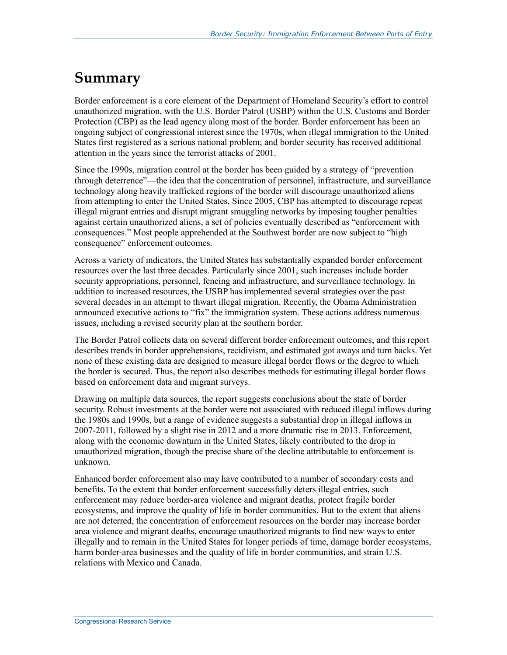## **Summary**

Border enforcement is a core element of the Department of Homeland Security's effort to control unauthorized migration, with the U.S. Border Patrol (USBP) within the U.S. Customs and Border Protection (CBP) as the lead agency along most of the border. Border enforcement has been an ongoing subject of congressional interest since the 1970s, when illegal immigration to the United States first registered as a serious national problem; and border security has received additional attention in the years since the terrorist attacks of 2001.

Since the 1990s, migration control at the border has been guided by a strategy of "prevention through deterrence"—the idea that the concentration of personnel, infrastructure, and surveillance technology along heavily trafficked regions of the border will discourage unauthorized aliens from attempting to enter the United States. Since 2005, CBP has attempted to discourage repeat illegal migrant entries and disrupt migrant smuggling networks by imposing tougher penalties against certain unauthorized aliens, a set of policies eventually described as "enforcement with consequences." Most people apprehended at the Southwest border are now subject to "high consequence" enforcement outcomes.

Across a variety of indicators, the United States has substantially expanded border enforcement resources over the last three decades. Particularly since 2001, such increases include border security appropriations, personnel, fencing and infrastructure, and surveillance technology. In addition to increased resources, the USBP has implemented several strategies over the past several decades in an attempt to thwart illegal migration. Recently, the Obama Administration announced executive actions to "fix" the immigration system. These actions address numerous issues, including a revised security plan at the southern border.

The Border Patrol collects data on several different border enforcement outcomes; and this report describes trends in border apprehensions, recidivism, and estimated got aways and turn backs. Yet none of these existing data are designed to measure illegal border flows or the degree to which the border is secured. Thus, the report also describes methods for estimating illegal border flows based on enforcement data and migrant surveys.

Drawing on multiple data sources, the report suggests conclusions about the state of border security. Robust investments at the border were not associated with reduced illegal inflows during the 1980s and 1990s, but a range of evidence suggests a substantial drop in illegal inflows in 2007-2011, followed by a slight rise in 2012 and a more dramatic rise in 2013. Enforcement, along with the economic downturn in the United States, likely contributed to the drop in unauthorized migration, though the precise share of the decline attributable to enforcement is unknown.

Enhanced border enforcement also may have contributed to a number of secondary costs and benefits. To the extent that border enforcement successfully deters illegal entries, such enforcement may reduce border-area violence and migrant deaths, protect fragile border ecosystems, and improve the quality of life in border communities. But to the extent that aliens are not deterred, the concentration of enforcement resources on the border may increase border area violence and migrant deaths, encourage unauthorized migrants to find new ways to enter illegally and to remain in the United States for longer periods of time, damage border ecosystems, harm border-area businesses and the quality of life in border communities, and strain U.S. relations with Mexico and Canada.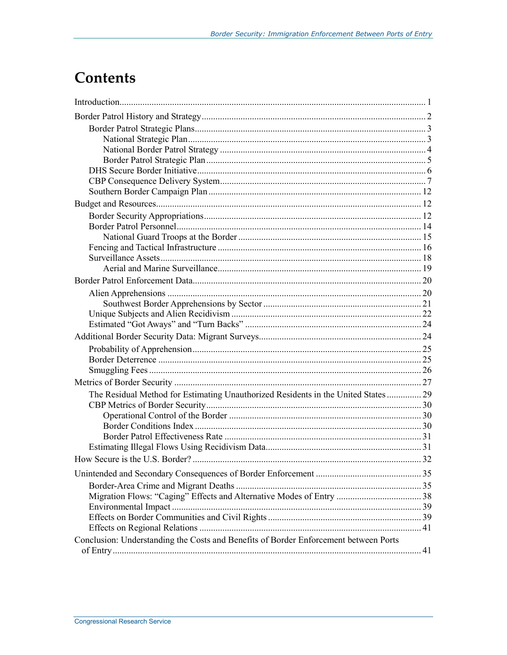## **Contents**

| The Residual Method for Estimating Unauthorized Residents in the United States  29   |  |
|--------------------------------------------------------------------------------------|--|
|                                                                                      |  |
|                                                                                      |  |
|                                                                                      |  |
|                                                                                      |  |
|                                                                                      |  |
|                                                                                      |  |
|                                                                                      |  |
|                                                                                      |  |
|                                                                                      |  |
|                                                                                      |  |
|                                                                                      |  |
|                                                                                      |  |
| Conclusion: Understanding the Costs and Benefits of Border Enforcement between Ports |  |
|                                                                                      |  |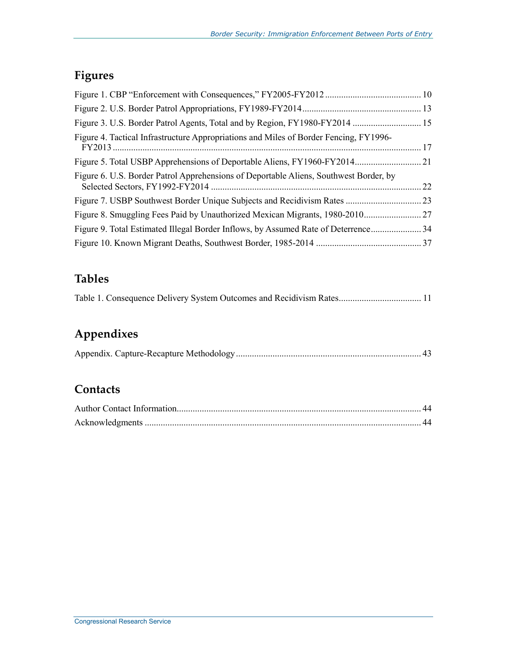### **Figures**

| 22 |
|----|
| 23 |
|    |
|    |
|    |
|    |

### **Tables**

|  |  |  |  |  | Table 1. Consequence Delivery System Outcomes and Recidivism Rates 11 |  |
|--|--|--|--|--|-----------------------------------------------------------------------|--|
|--|--|--|--|--|-----------------------------------------------------------------------|--|

### **Appendixes**

|--|--|--|

### **Contacts**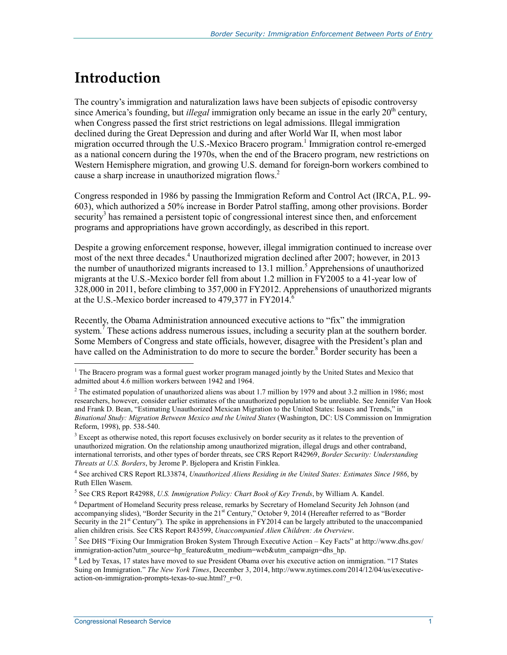## **Introduction**

The country's immigration and naturalization laws have been subjects of episodic controversy since America's founding, but *illegal* immigration only became an issue in the early 20<sup>th</sup> century, when Congress passed the first strict restrictions on legal admissions. Illegal immigration declined during the Great Depression and during and after World War II, when most labor migration occurred through the U.S.-Mexico Bracero program.<sup>1</sup> Immigration control re-emerged as a national concern during the 1970s, when the end of the Bracero program, new restrictions on Western Hemisphere migration, and growing U.S. demand for foreign-born workers combined to cause a sharp increase in unauthorized migration flows.<sup>2</sup>

Congress responded in 1986 by passing the Immigration Reform and Control Act (IRCA, P.L. 99- 603), which authorized a 50% increase in Border Patrol staffing, among other provisions. Border security<sup>3</sup> has remained a persistent topic of congressional interest since then, and enforcement programs and appropriations have grown accordingly, as described in this report.

Despite a growing enforcement response, however, illegal immigration continued to increase over most of the next three decades.<sup>4</sup> Unauthorized migration declined after 2007; however, in 2013 the number of unauthorized migrants increased to  $13.1$  million.<sup>5</sup> Apprehensions of unauthorized migrants at the U.S.-Mexico border fell from about 1.2 million in FY2005 to a 41-year low of 328,000 in 2011, before climbing to 357,000 in FY2012. Apprehensions of unauthorized migrants at the U.S.-Mexico border increased to  $479,377$  in FY2014.<sup>6</sup>

Recently, the Obama Administration announced executive actions to "fix" the immigration system.<sup> $7$ </sup> These actions address numerous issues, including a security plan at the southern border. Some Members of Congress and state officials, however, disagree with the President's plan and have called on the Administration to do more to secure the border.<sup>8</sup> Border security has been a

<sup>&</sup>lt;sup>1</sup> The Bracero program was a formal guest worker program managed jointly by the United States and Mexico that admitted about 4.6 million workers between 1942 and 1964.

<sup>&</sup>lt;sup>2</sup> The estimated population of unauthorized aliens was about 1.7 million by 1979 and about 3.2 million in 1986; most researchers, however, consider earlier estimates of the unauthorized population to be unreliable. See Jennifer Van Hook and Frank D. Bean, "Estimating Unauthorized Mexican Migration to the United States: Issues and Trends," in *Binational Study: Migration Between Mexico and the United States* (Washington, DC: US Commission on Immigration Reform, 1998), pp. 538-540.

<sup>&</sup>lt;sup>3</sup> Except as otherwise noted, this report focuses exclusively on border security as it relates to the prevention of unauthorized migration. On the relationship among unauthorized migration, illegal drugs and other contraband, international terrorists, and other types of border threats, see CRS Report R42969, *Border Security: Understanding Threats at U.S. Borders*, by Jerome P. Bjelopera and Kristin Finklea.

<sup>4</sup> See archived CRS Report RL33874, *Unauthorized Aliens Residing in the United States: Estimates Since 1986*, by Ruth Ellen Wasem.

<sup>5</sup> See CRS Report R42988, *U.S. Immigration Policy: Chart Book of Key Trends*, by William A. Kandel.

<sup>&</sup>lt;sup>6</sup> Department of Homeland Security press release, remarks by Secretary of Homeland Security Jeh Johnson (and accompanying slides), "Border Security in the 21<sup>st</sup> Century," October 9, 2014 (Hereafter referred to as "Border Security in the 21<sup>st</sup> Century"). The spike in apprehensions in FY2014 can be largely attributed to the unaccompanied alien children crisis. See CRS Report R43599, *Unaccompanied Alien Children: An Overview*.

<sup>7</sup> See DHS "Fixing Our Immigration Broken System Through Executive Action – Key Facts" at http://www.dhs.gov/ immigration-action?utm\_source=hp\_feature&utm\_medium=web&utm\_campaign=dhs\_hp.

<sup>&</sup>lt;sup>8</sup> Led by Texas, 17 states have moved to sue President Obama over his executive action on immigration. "17 States Suing on Immigration." *The New York Times*, December 3, 2014, http://www.nytimes.com/2014/12/04/us/executiveaction-on-immigration-prompts-texas-to-sue.html? r=0.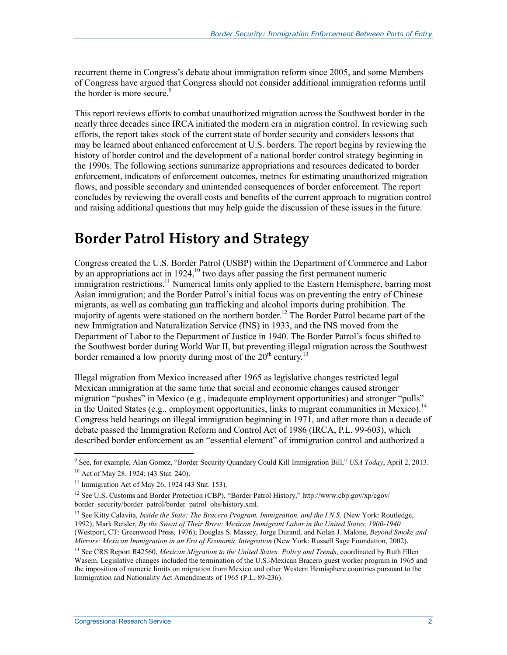recurrent theme in Congress's debate about immigration reform since 2005, and some Members of Congress have argued that Congress should not consider additional immigration reforms until the border is more secure.<sup>9</sup>

This report reviews efforts to combat unauthorized migration across the Southwest border in the nearly three decades since IRCA initiated the modern era in migration control. In reviewing such efforts, the report takes stock of the current state of border security and considers lessons that may be learned about enhanced enforcement at U.S. borders. The report begins by reviewing the history of border control and the development of a national border control strategy beginning in the 1990s. The following sections summarize appropriations and resources dedicated to border enforcement, indicators of enforcement outcomes, metrics for estimating unauthorized migration flows, and possible secondary and unintended consequences of border enforcement. The report concludes by reviewing the overall costs and benefits of the current approach to migration control and raising additional questions that may help guide the discussion of these issues in the future.

## **Border Patrol History and Strategy**

Congress created the U.S. Border Patrol (USBP) within the Department of Commerce and Labor by an appropriations act in 1924,<sup>10</sup> two days after passing the first permanent numeric immigration restrictions.<sup>11</sup> Numerical limits only applied to the Eastern Hemisphere, barring most Asian immigration; and the Border Patrol's initial focus was on preventing the entry of Chinese migrants, as well as combating gun trafficking and alcohol imports during prohibition. The majority of agents were stationed on the northern border.<sup>12</sup> The Border Patrol became part of the new Immigration and Naturalization Service (INS) in 1933, and the INS moved from the Department of Labor to the Department of Justice in 1940. The Border Patrol's focus shifted to the Southwest border during World War II, but preventing illegal migration across the Southwest border remained a low priority during most of the 20<sup>th</sup> century.<sup>13</sup>

Illegal migration from Mexico increased after 1965 as legislative changes restricted legal Mexican immigration at the same time that social and economic changes caused stronger migration "pushes" in Mexico (e.g., inadequate employment opportunities) and stronger "pulls" in the United States (e.g., employment opportunities, links to migrant communities in Mexico).<sup>14</sup> Congress held hearings on illegal immigration beginning in 1971, and after more than a decade of debate passed the Immigration Reform and Control Act of 1986 (IRCA, P.L. 99-603), which described border enforcement as an "essential element" of immigration control and authorized a

<u>.</u>

<sup>9</sup> See, for example, Alan Gomez, "Border Security Quandary Could Kill Immigration Bill," *USA Today*, April 2, 2013. 10 Act of May 28, 1924; (43 Stat. 240).

 $11$  Immigration Act of May 26, 1924 (43 Stat. 153).

<sup>12</sup> See U.S. Customs and Border Protection (CBP), "Border Patrol History," http://www.cbp.gov/xp/cgov/ border\_security/border\_patrol/border\_patrol\_ohs/history.xml.

<sup>13</sup> See Kitty Calavita, *Inside the State: The Bracero Program, Immigration, and the I.N.S.* (New York: Routledge, 1992); Mark Reisler, *By the Sweat of Their Brow: Mexican Immigrant Labor in the United States, 1900-1940* (Westport, CT: Greenwood Press, 1976); Douglas S. Massey, Jorge Durand, and Nolan J. Malone, *Beyond Smoke and Mirrors: Mexican Immigration in an Era of Economic Integration* (New York: Russell Sage Foundation, 2002).

<sup>&</sup>lt;sup>14</sup> See CRS Report R42560, *Mexican Migration to the United States: Policy and Trends*, coordinated by Ruth Ellen Wasem. Legislative changes included the termination of the U.S.-Mexican Bracero guest worker program in 1965 and the imposition of numeric limits on migration from Mexico and other Western Hemisphere countries pursuant to the Immigration and Nationality Act Amendments of 1965 (P.L. 89-236).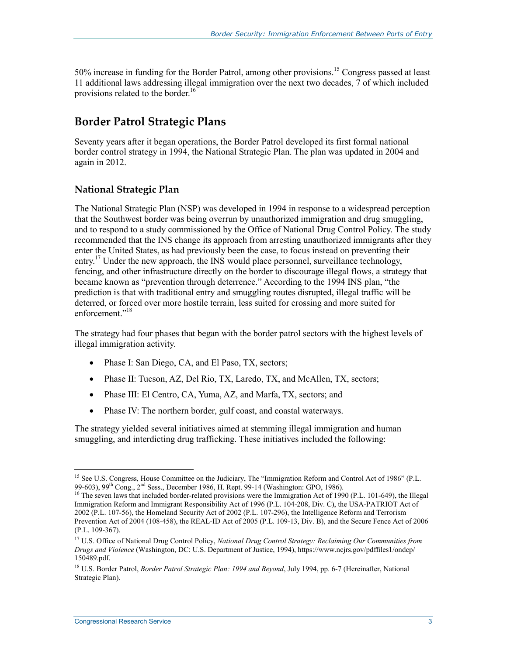50% increase in funding for the Border Patrol, among other provisions.<sup>15</sup> Congress passed at least 11 additional laws addressing illegal immigration over the next two decades, 7 of which included provisions related to the border.<sup>16</sup>

### **Border Patrol Strategic Plans**

Seventy years after it began operations, the Border Patrol developed its first formal national border control strategy in 1994, the National Strategic Plan. The plan was updated in 2004 and again in 2012.

#### **National Strategic Plan**

The National Strategic Plan (NSP) was developed in 1994 in response to a widespread perception that the Southwest border was being overrun by unauthorized immigration and drug smuggling, and to respond to a study commissioned by the Office of National Drug Control Policy. The study recommended that the INS change its approach from arresting unauthorized immigrants after they enter the United States, as had previously been the case, to focus instead on preventing their entry.<sup>17</sup> Under the new approach, the INS would place personnel, surveillance technology, fencing, and other infrastructure directly on the border to discourage illegal flows, a strategy that became known as "prevention through deterrence." According to the 1994 INS plan, "the prediction is that with traditional entry and smuggling routes disrupted, illegal traffic will be deterred, or forced over more hostile terrain, less suited for crossing and more suited for enforcement<sup>"18</sup>

The strategy had four phases that began with the border patrol sectors with the highest levels of illegal immigration activity.

- Phase I: San Diego, CA, and El Paso, TX, sectors;
- Phase II: Tucson, AZ, Del Rio, TX, Laredo, TX, and McAllen, TX, sectors;
- Phase III: El Centro, CA, Yuma, AZ, and Marfa, TX, sectors; and
- Phase IV: The northern border, gulf coast, and coastal waterways.

The strategy yielded several initiatives aimed at stemming illegal immigration and human smuggling, and interdicting drug trafficking. These initiatives included the following:

<sup>1</sup> <sup>15</sup> See U.S. Congress, House Committee on the Judiciary, The "Immigration Reform and Control Act of 1986" (P.L. 99-603), 99<sup>th</sup> Cong., 2<sup>nd</sup> Sess., December 1986, H. Rept. 99-14 (Washington: GPO, 1986). <sup>16</sup> The seven laws that included border-related provisions were the Immigration Act of 1990 (P.L. 101-649), the Illegal

Immigration Reform and Immigrant Responsibility Act of 1996 (P.L. 104-208, Div. C), the USA-PATRIOT Act of 2002 (P.L. 107-56), the Homeland Security Act of 2002 (P.L. 107-296), the Intelligence Reform and Terrorism Prevention Act of 2004 (108-458), the REAL-ID Act of 2005 (P.L. 109-13, Div. B), and the Secure Fence Act of 2006 (P.L. 109-367).

<sup>&</sup>lt;sup>17</sup> U.S. Office of National Drug Control Policy, *National Drug Control Strategy: Reclaiming Our Communities from Drugs and Violence* (Washington, DC: U.S. Department of Justice, 1994), https://www.ncjrs.gov/pdffiles1/ondcp/ 150489.pdf.

<sup>18</sup> U.S. Border Patrol, *Border Patrol Strategic Plan: 1994 and Beyond*, July 1994, pp. 6-7 (Hereinafter, National Strategic Plan).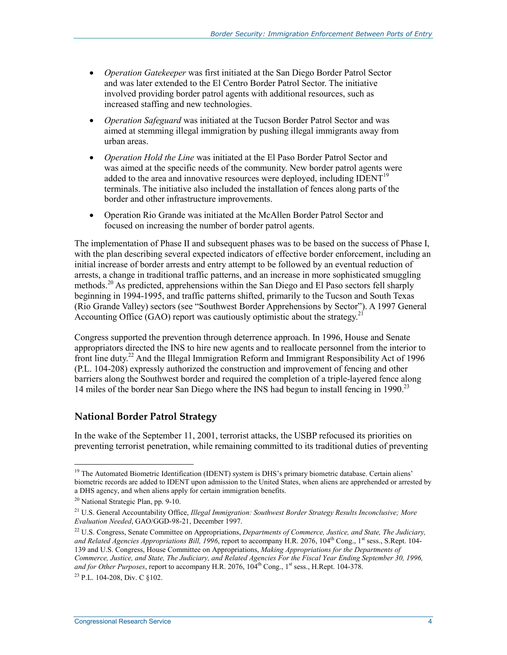- *Operation Gatekeeper* was first initiated at the San Diego Border Patrol Sector and was later extended to the El Centro Border Patrol Sector. The initiative involved providing border patrol agents with additional resources, such as increased staffing and new technologies.
- *Operation Safeguard* was initiated at the Tucson Border Patrol Sector and was aimed at stemming illegal immigration by pushing illegal immigrants away from urban areas.
- *Operation Hold the Line* was initiated at the El Paso Border Patrol Sector and was aimed at the specific needs of the community. New border patrol agents were added to the area and innovative resources were deployed, including  $IDENT<sup>19</sup>$ terminals. The initiative also included the installation of fences along parts of the border and other infrastructure improvements.
- Operation Rio Grande was initiated at the McAllen Border Patrol Sector and focused on increasing the number of border patrol agents.

The implementation of Phase II and subsequent phases was to be based on the success of Phase I, with the plan describing several expected indicators of effective border enforcement, including an initial increase of border arrests and entry attempt to be followed by an eventual reduction of arrests, a change in traditional traffic patterns, and an increase in more sophisticated smuggling methods.<sup>20</sup> As predicted, apprehensions within the San Diego and El Paso sectors fell sharply beginning in 1994-1995, and traffic patterns shifted, primarily to the Tucson and South Texas (Rio Grande Valley) sectors (see "Southwest Border Apprehensions by Sector"). A 1997 General Accounting Office (GAO) report was cautiously optimistic about the strategy.<sup>21</sup>

Congress supported the prevention through deterrence approach. In 1996, House and Senate appropriators directed the INS to hire new agents and to reallocate personnel from the interior to front line duty.22 And the Illegal Immigration Reform and Immigrant Responsibility Act of 1996 (P.L. 104-208) expressly authorized the construction and improvement of fencing and other barriers along the Southwest border and required the completion of a triple-layered fence along 14 miles of the border near San Diego where the INS had begun to install fencing in 1990.<sup>23</sup>

#### **National Border Patrol Strategy**

In the wake of the September 11, 2001, terrorist attacks, the USBP refocused its priorities on preventing terrorist penetration, while remaining committed to its traditional duties of preventing

1

23 P.L. 104-208, Div. C §102.

<sup>&</sup>lt;sup>19</sup> The Automated Biometric Identification (IDENT) system is DHS's primary biometric database. Certain aliens' biometric records are added to IDENT upon admission to the United States, when aliens are apprehended or arrested by a DHS agency, and when aliens apply for certain immigration benefits.

<sup>20</sup> National Strategic Plan, pp. 9-10.

<sup>21</sup> U.S. General Accountability Office, *Illegal Immigration: Southwest Border Strategy Results Inconclusive; More Evaluation Needed*, GAO/GGD-98-21, December 1997.

<sup>22</sup> U.S. Congress, Senate Committee on Appropriations, *Departments of Commerce, Justice, and State, The Judiciary,*  and Related Agencies Appropriations Bill, 1996, report to accompany H.R. 2076, 104<sup>th</sup> Cong., 1<sup>st</sup> sess., S.Rept. 104-139 and U.S. Congress, House Committee on Appropriations, *Making Appropriations for the Departments of Commerce, Justice, and State, The Judiciary, and Related Agencies For the Fiscal Year Ending September 30, 1996,*  and for Other Purposes, report to accompany H.R. 2076, 104<sup>th</sup> Cong., 1<sup>st</sup> sess., H.Rept. 104-378.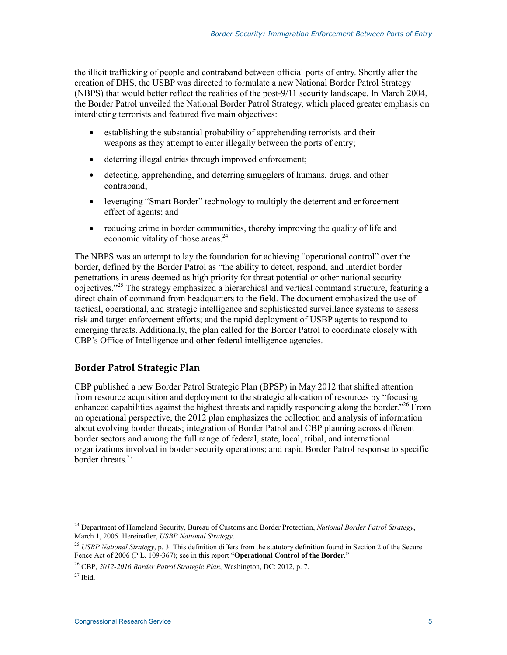the illicit trafficking of people and contraband between official ports of entry. Shortly after the creation of DHS, the USBP was directed to formulate a new National Border Patrol Strategy (NBPS) that would better reflect the realities of the post-9/11 security landscape. In March 2004, the Border Patrol unveiled the National Border Patrol Strategy, which placed greater emphasis on interdicting terrorists and featured five main objectives:

- establishing the substantial probability of apprehending terrorists and their weapons as they attempt to enter illegally between the ports of entry;
- deterring illegal entries through improved enforcement;
- detecting, apprehending, and deterring smugglers of humans, drugs, and other contraband;
- leveraging "Smart Border" technology to multiply the deterrent and enforcement effect of agents; and
- reducing crime in border communities, thereby improving the quality of life and economic vitality of those areas.<sup>24</sup>

The NBPS was an attempt to lay the foundation for achieving "operational control" over the border, defined by the Border Patrol as "the ability to detect, respond, and interdict border penetrations in areas deemed as high priority for threat potential or other national security objectives."25 The strategy emphasized a hierarchical and vertical command structure, featuring a direct chain of command from headquarters to the field. The document emphasized the use of tactical, operational, and strategic intelligence and sophisticated surveillance systems to assess risk and target enforcement efforts; and the rapid deployment of USBP agents to respond to emerging threats. Additionally, the plan called for the Border Patrol to coordinate closely with CBP's Office of Intelligence and other federal intelligence agencies.

#### **Border Patrol Strategic Plan**

CBP published a new Border Patrol Strategic Plan (BPSP) in May 2012 that shifted attention from resource acquisition and deployment to the strategic allocation of resources by "focusing enhanced capabilities against the highest threats and rapidly responding along the border.<sup>226</sup> From an operational perspective, the 2012 plan emphasizes the collection and analysis of information about evolving border threats; integration of Border Patrol and CBP planning across different border sectors and among the full range of federal, state, local, tribal, and international organizations involved in border security operations; and rapid Border Patrol response to specific border threats $27$ 

<sup>24</sup> Department of Homeland Security, Bureau of Customs and Border Protection, *National Border Patrol Strategy*, March 1, 2005. Hereinafter, *USBP National Strategy*.

<sup>25</sup> *USBP National Strategy*, p. 3. This definition differs from the statutory definition found in Section 2 of the Secure Fence Act of 2006 (P.L. 109-367); see in this report "**Operational Control of the Border**."

<sup>26</sup> CBP, *2012-2016 Border Patrol Strategic Plan*, Washington, DC: 2012, p. 7.

 $27$  Ibid.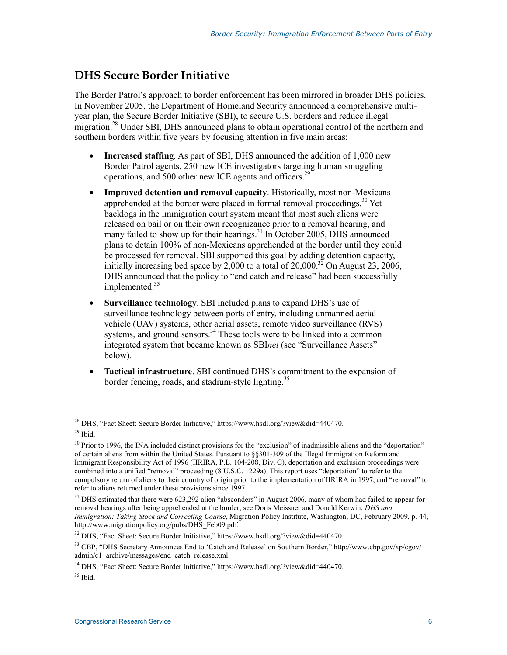#### **DHS Secure Border Initiative**

The Border Patrol's approach to border enforcement has been mirrored in broader DHS policies. In November 2005, the Department of Homeland Security announced a comprehensive multiyear plan, the Secure Border Initiative (SBI), to secure U.S. borders and reduce illegal migration.<sup>28</sup> Under SBI, DHS announced plans to obtain operational control of the northern and southern borders within five years by focusing attention in five main areas:

- **Increased staffing**. As part of SBI, DHS announced the addition of 1,000 new Border Patrol agents, 250 new ICE investigators targeting human smuggling operations, and 500 other new ICE agents and officers.<sup>29</sup>
- **Improved detention and removal capacity**. Historically, most non-Mexicans apprehended at the border were placed in formal removal proceedings.<sup>30</sup> Yet backlogs in the immigration court system meant that most such aliens were released on bail or on their own recognizance prior to a removal hearing, and many failed to show up for their hearings. $31$  In October 2005, DHS announced plans to detain 100% of non-Mexicans apprehended at the border until they could be processed for removal. SBI supported this goal by adding detention capacity, initially increasing bed space by  $2,000$  to a total of  $20,000$ .<sup>32</sup> On August 23, 2006, DHS announced that the policy to "end catch and release" had been successfully implemented.<sup>33</sup>
- **Surveillance technology**. SBI included plans to expand DHS's use of surveillance technology between ports of entry, including unmanned aerial vehicle (UAV) systems, other aerial assets, remote video surveillance (RVS) systems, and ground sensors.<sup>34</sup> These tools were to be linked into a common integrated system that became known as SBI*net* (see "Surveillance Assets" below).
- **Tactical infrastructure**. SBI continued DHS's commitment to the expansion of border fencing, roads, and stadium-style lighting.<sup>35</sup>

<sup>&</sup>lt;sup>28</sup> DHS, "Fact Sheet: Secure Border Initiative," https://www.hsdl.org/?view&did=440470.  $29$  Ibid.

<sup>&</sup>lt;sup>30</sup> Prior to 1996, the INA included distinct provisions for the "exclusion" of inadmissible aliens and the "deportation" of certain aliens from within the United States. Pursuant to §§301-309 of the Illegal Immigration Reform and Immigrant Responsibility Act of 1996 (IIRIRA, P.L. 104-208, Div. C), deportation and exclusion proceedings were combined into a unified "removal" proceeding (8 U.S.C. 1229a). This report uses "deportation" to refer to the compulsory return of aliens to their country of origin prior to the implementation of IIRIRA in 1997, and "removal" to refer to aliens returned under these provisions since 1997.

 $31$  DHS estimated that there were 623,292 alien "absconders" in August 2006, many of whom had failed to appear for removal hearings after being apprehended at the border; see Doris Meissner and Donald Kerwin, *DHS and Immigration: Taking Stock and Correcting Course*, Migration Policy Institute, Washington, DC, February 2009, p. 44, http://www.migrationpolicy.org/pubs/DHS\_Feb09.pdf.

<sup>32</sup> DHS, "Fact Sheet: Secure Border Initiative," https://www.hsdl.org/?view&did=440470.

<sup>33</sup> CBP, "DHS Secretary Announces End to 'Catch and Release' on Southern Border," http://www.cbp.gov/xp/cgov/ admin/c1\_archive/messages/end\_catch\_release.xml.

<sup>34</sup> DHS, "Fact Sheet: Secure Border Initiative," https://www.hsdl.org/?view&did=440470.

 $35$  Ibid.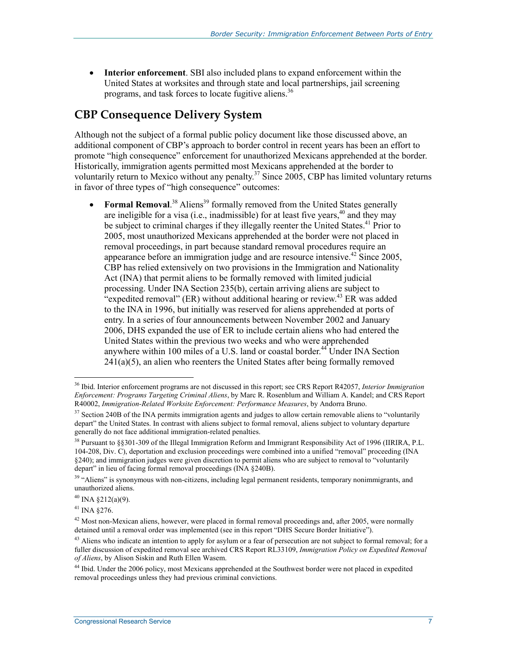• **Interior enforcement**. SBI also included plans to expand enforcement within the United States at worksites and through state and local partnerships, jail screening programs, and task forces to locate fugitive aliens.36

#### **CBP Consequence Delivery System**

Although not the subject of a formal public policy document like those discussed above, an additional component of CBP's approach to border control in recent years has been an effort to promote "high consequence" enforcement for unauthorized Mexicans apprehended at the border. Historically, immigration agents permitted most Mexicans apprehended at the border to voluntarily return to Mexico without any penalty.<sup>37</sup> Since 2005, CBP has limited voluntary returns in favor of three types of "high consequence" outcomes:

• **Formal Removal.**<sup>38</sup> Aliens<sup>39</sup> formally removed from the United States generally are ineligible for a visa (i.e., inadmissible) for at least five years,  $40$  and they may be subject to criminal charges if they illegally reenter the United States.<sup>41</sup> Prior to 2005, most unauthorized Mexicans apprehended at the border were not placed in removal proceedings, in part because standard removal procedures require an appearance before an immigration judge and are resource intensive.<sup>42</sup> Since 2005, CBP has relied extensively on two provisions in the Immigration and Nationality Act (INA) that permit aliens to be formally removed with limited judicial processing. Under INA Section 235(b), certain arriving aliens are subject to "expedited removal" (ER) without additional hearing or review.<sup>43</sup> ER was added to the INA in 1996, but initially was reserved for aliens apprehended at ports of entry. In a series of four announcements between November 2002 and January 2006, DHS expanded the use of ER to include certain aliens who had entered the United States within the previous two weeks and who were apprehended anywhere within 100 miles of a U.S. land or coastal border.<sup>44</sup> Under INA Section  $241(a)(5)$ , an alien who reenters the United States after being formally removed

<u>.</u>

<sup>36</sup> Ibid. Interior enforcement programs are not discussed in this report; see CRS Report R42057, *Interior Immigration Enforcement: Programs Targeting Criminal Aliens*, by Marc R. Rosenblum and William A. Kandel; and CRS Report R40002, *Immigration-Related Worksite Enforcement: Performance Measures*, by Andorra Bruno.

<sup>&</sup>lt;sup>37</sup> Section 240B of the INA permits immigration agents and judges to allow certain removable aliens to "voluntarily depart" the United States. In contrast with aliens subject to formal removal, aliens subject to voluntary departure generally do not face additional immigration-related penalties.

<sup>&</sup>lt;sup>38</sup> Pursuant to §§301-309 of the Illegal Immigration Reform and Immigrant Responsibility Act of 1996 (IIRIRA, P.L. 104-208, Div. C), deportation and exclusion proceedings were combined into a unified "removal" proceeding (INA §240); and immigration judges were given discretion to permit aliens who are subject to removal to "voluntarily depart" in lieu of facing formal removal proceedings (INA §240B).

<sup>&</sup>lt;sup>39</sup> "Aliens" is synonymous with non-citizens, including legal permanent residents, temporary nonimmigrants, and unauthorized aliens.

 $40$  INA §212(a)(9).

<sup>41</sup> INA §276.

<sup>&</sup>lt;sup>42</sup> Most non-Mexican aliens, however, were placed in formal removal proceedings and, after 2005, were normally detained until a removal order was implemented (see in this report "DHS Secure Border Initiative").

 $43$  Aliens who indicate an intention to apply for asylum or a fear of persecution are not subject to formal removal; for a fuller discussion of expedited removal see archived CRS Report RL33109, *Immigration Policy on Expedited Removal of Aliens*, by Alison Siskin and Ruth Ellen Wasem.

<sup>44</sup> Ibid. Under the 2006 policy, most Mexicans apprehended at the Southwest border were not placed in expedited removal proceedings unless they had previous criminal convictions.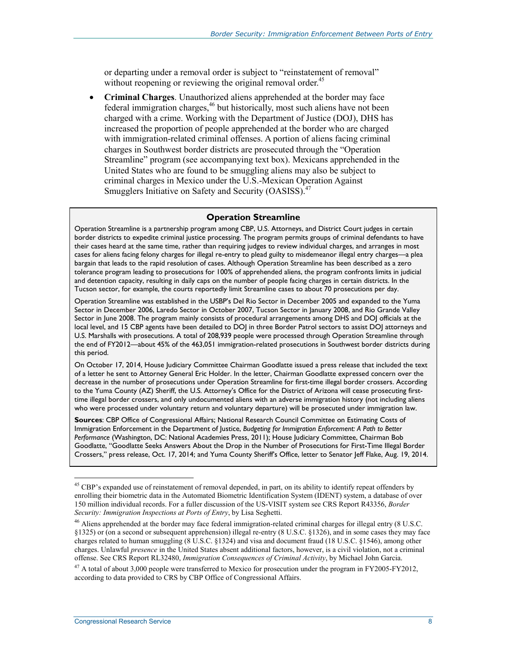or departing under a removal order is subject to "reinstatement of removal" without reopening or reviewing the original removal order.<sup>45</sup>

• **Criminal Charges**. Unauthorized aliens apprehended at the border may face federal immigration charges,<sup>46</sup> but historically, most such aliens have not been charged with a crime. Working with the Department of Justice (DOJ), DHS has increased the proportion of people apprehended at the border who are charged with immigration-related criminal offenses. A portion of aliens facing criminal charges in Southwest border districts are prosecuted through the "Operation Streamline" program (see accompanying text box). Mexicans apprehended in the United States who are found to be smuggling aliens may also be subject to criminal charges in Mexico under the U.S.-Mexican Operation Against Smugglers Initiative on Safety and Security (OASISS).<sup>47</sup>

#### **Operation Streamline**

Operation Streamline is a partnership program among CBP, U.S. Attorneys, and District Court judges in certain border districts to expedite criminal justice processing. The program permits groups of criminal defendants to have their cases heard at the same time, rather than requiring judges to review individual charges, and arranges in most cases for aliens facing felony charges for illegal re-entry to plead guilty to misdemeanor illegal entry charges—a plea bargain that leads to the rapid resolution of cases. Although Operation Streamline has been described as a zero tolerance program leading to prosecutions for 100% of apprehended aliens, the program confronts limits in judicial and detention capacity, resulting in daily caps on the number of people facing charges in certain districts. In the Tucson sector, for example, the courts reportedly limit Streamline cases to about 70 prosecutions per day.

Operation Streamline was established in the USBP's Del Rio Sector in December 2005 and expanded to the Yuma Sector in December 2006, Laredo Sector in October 2007, Tucson Sector in January 2008, and Rio Grande Valley Sector in June 2008. The program mainly consists of procedural arrangements among DHS and DOJ officials at the local level, and 15 CBP agents have been detailed to DOJ in three Border Patrol sectors to assist DOJ attorneys and U.S. Marshalls with prosecutions. A total of 208,939 people were processed through Operation Streamline through the end of FY2012—about 45% of the 463,051 immigration-related prosecutions in Southwest border districts during this period.

On October 17, 2014, House Judiciary Committee Chairman Goodlatte issued a press release that included the text of a letter he sent to Attorney General Eric Holder. In the letter, Chairman Goodlatte expressed concern over the decrease in the number of prosecutions under Operation Streamline for first-time illegal border crossers. According to the Yuma County (AZ) Sheriff, the U.S. Attorney's Office for the District of Arizona will cease prosecuting firsttime illegal border crossers, and only undocumented aliens with an adverse immigration history (not including aliens who were processed under voluntary return and voluntary departure) will be prosecuted under immigration law.

**Sources**: CBP Office of Congressional Affairs; National Research Council Committee on Estimating Costs of Immigration Enforcement in the Department of Justice, *Budgeting for Immigration Enforcement: A Path to Better Performance* (Washington, DC: National Academies Press, 2011); House Judiciary Committee, Chairman Bob Goodlatte, "Goodlatte Seeks Answers About the Drop in the Number of Prosecutions for First-Time Illegal Border Crossers," press release, Oct. 17, 2014; and Yuma County Sheriff's Office, letter to Senator Jeff Flake, Aug. 19, 2014.

<u>.</u>

<sup>&</sup>lt;sup>45</sup> CBP's expanded use of reinstatement of removal depended, in part, on its ability to identify repeat offenders by enrolling their biometric data in the Automated Biometric Identification System (IDENT) system, a database of over 150 million individual records. For a fuller discussion of the US-VISIT system see CRS Report R43356, *Border Security: Immigration Inspections at Ports of Entry*, by Lisa Seghetti.

<sup>&</sup>lt;sup>46</sup> Aliens apprehended at the border may face federal immigration-related criminal charges for illegal entry (8 U.S.C. §1325) or (on a second or subsequent apprehension) illegal re-entry (8 U.S.C. §1326), and in some cases they may face charges related to human smuggling (8 U.S.C. §1324) and visa and document fraud (18 U.S.C. §1546), among other charges. Unlawful *presence* in the United States absent additional factors, however, is a civil violation, not a criminal offense. See CRS Report RL32480, *Immigration Consequences of Criminal Activity*, by Michael John Garcia.

 $^{47}$  A total of about 3,000 people were transferred to Mexico for prosecution under the program in FY2005-FY2012, according to data provided to CRS by CBP Office of Congressional Affairs.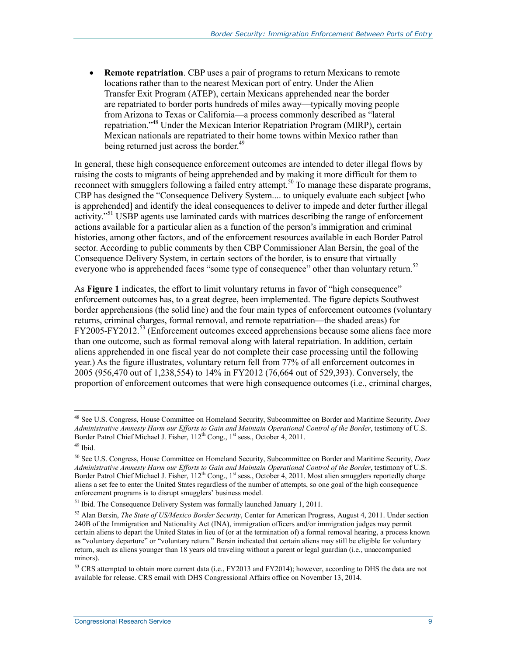**Remote repatriation**. CBP uses a pair of programs to return Mexicans to remote locations rather than to the nearest Mexican port of entry. Under the Alien Transfer Exit Program (ATEP), certain Mexicans apprehended near the border are repatriated to border ports hundreds of miles away—typically moving people from Arizona to Texas or California—a process commonly described as "lateral repatriation."48 Under the Mexican Interior Repatriation Program (MIRP), certain Mexican nationals are repatriated to their home towns within Mexico rather than being returned just across the border.<sup>49</sup>

In general, these high consequence enforcement outcomes are intended to deter illegal flows by raising the costs to migrants of being apprehended and by making it more difficult for them to reconnect with smugglers following a failed entry attempt.<sup>50</sup> To manage these disparate programs, CBP has designed the "Consequence Delivery System.... to uniquely evaluate each subject [who is apprehended] and identify the ideal consequences to deliver to impede and deter further illegal activity.<sup>"51</sup> USBP agents use laminated cards with matrices describing the range of enforcement actions available for a particular alien as a function of the person's immigration and criminal histories, among other factors, and of the enforcement resources available in each Border Patrol sector. According to public comments by then CBP Commissioner Alan Bersin, the goal of the Consequence Delivery System, in certain sectors of the border, is to ensure that virtually everyone who is apprehended faces "some type of consequence" other than voluntary return.<sup>52</sup>

As **Figure 1** indicates, the effort to limit voluntary returns in favor of "high consequence" enforcement outcomes has, to a great degree, been implemented. The figure depicts Southwest border apprehensions (the solid line) and the four main types of enforcement outcomes (voluntary returns, criminal charges, formal removal, and remote repatriation—the shaded areas) for  $FY2005-FY2012<sup>53</sup>$  (Enforcement outcomes exceed apprehensions because some aliens face more than one outcome, such as formal removal along with lateral repatriation. In addition, certain aliens apprehended in one fiscal year do not complete their case processing until the following year.) As the figure illustrates, voluntary return fell from 77% of all enforcement outcomes in 2005 (956,470 out of 1,238,554) to 14% in FY2012 (76,664 out of 529,393). Conversely, the proportion of enforcement outcomes that were high consequence outcomes (i.e., criminal charges,

<sup>48</sup> See U.S. Congress, House Committee on Homeland Security, Subcommittee on Border and Maritime Security, *Does Administrative Amnesty Harm our Efforts to Gain and Maintain Operational Control of the Border*, testimony of U.S. Border Patrol Chief Michael J. Fisher, 112<sup>th</sup> Cong., 1<sup>st</sup> sess., October 4, 2011.

<sup>49</sup> Ibid.

<sup>50</sup> See U.S. Congress, House Committee on Homeland Security, Subcommittee on Border and Maritime Security, *Does Administrative Amnesty Harm our Efforts to Gain and Maintain Operational Control of the Border*, testimony of U.S. Border Patrol Chief Michael J. Fisher, 112<sup>th</sup> Cong., 1<sup>st</sup> sess., October 4, 2011. Most alien smugglers reportedly charge aliens a set fee to enter the United States regardless of the number of attempts, so one goal of the high consequence enforcement programs is to disrupt smugglers' business model.

<sup>&</sup>lt;sup>51</sup> Ibid. The Consequence Delivery System was formally launched January 1, 2011.

<sup>52</sup> Alan Bersin, *The State of US/Mexico Border Security*, Center for American Progress, August 4, 2011. Under section 240B of the Immigration and Nationality Act (INA), immigration officers and/or immigration judges may permit certain aliens to depart the United States in lieu of (or at the termination of) a formal removal hearing, a process known as "voluntary departure" or "voluntary return." Bersin indicated that certain aliens may still be eligible for voluntary return, such as aliens younger than 18 years old traveling without a parent or legal guardian (i.e., unaccompanied minors).

<sup>&</sup>lt;sup>53</sup> CRS attempted to obtain more current data (i.e., FY2013 and FY2014); however, according to DHS the data are not available for release. CRS email with DHS Congressional Affairs office on November 13, 2014.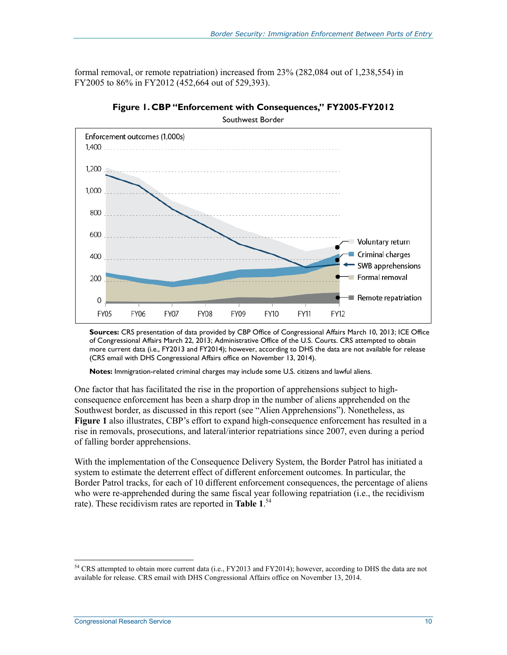formal removal, or remote repatriation) increased from 23% (282,084 out of 1,238,554) in FY2005 to 86% in FY2012 (452,664 out of 529,393).



**Figure 1. CBP "Enforcement with Consequences," FY2005-FY2012**  Southwest Border

**Sources:** CRS presentation of data provided by CBP Office of Congressional Affairs March 10, 2013; ICE Office of Congressional Affairs March 22, 2013; Administrative Office of the U.S. Courts. CRS attempted to obtain more current data (i.e., FY2013 and FY2014); however, according to DHS the data are not available for release (CRS email with DHS Congressional Affairs office on November 13, 2014).

**Notes:** Immigration-related criminal charges may include some U.S. citizens and lawful aliens.

One factor that has facilitated the rise in the proportion of apprehensions subject to highconsequence enforcement has been a sharp drop in the number of aliens apprehended on the Southwest border, as discussed in this report (see "Alien Apprehensions"). Nonetheless, as **Figure 1** also illustrates, CBP's effort to expand high-consequence enforcement has resulted in a rise in removals, prosecutions, and lateral/interior repatriations since 2007, even during a period of falling border apprehensions.

With the implementation of the Consequence Delivery System, the Border Patrol has initiated a system to estimate the deterrent effect of different enforcement outcomes. In particular, the Border Patrol tracks, for each of 10 different enforcement consequences, the percentage of aliens who were re-apprehended during the same fiscal year following repatriation (i.e., the recidivism rate). These recidivism rates are reported in **Table 1**. 54

 $<sup>54</sup>$  CRS attempted to obtain more current data (i.e., FY2013 and FY2014); however, according to DHS the data are not</sup> available for release. CRS email with DHS Congressional Affairs office on November 13, 2014.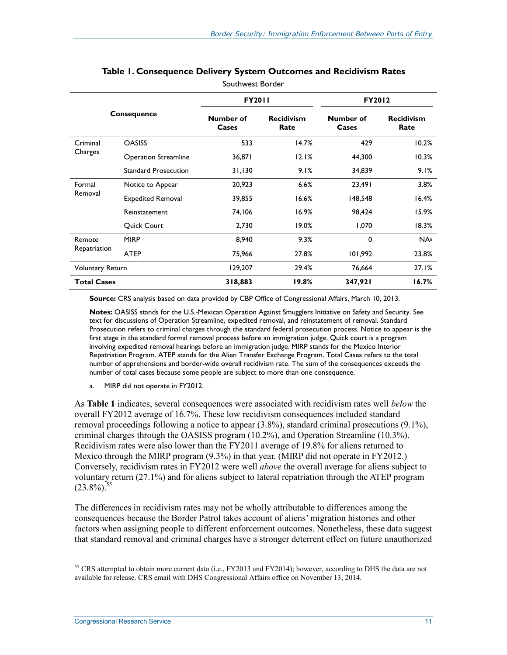|                         |                             | <b>FY2011</b>      |                           | <b>FY2012</b>      |                           |
|-------------------------|-----------------------------|--------------------|---------------------------|--------------------|---------------------------|
| <b>Consequence</b>      |                             | Number of<br>Cases | <b>Recidivism</b><br>Rate | Number of<br>Cases | <b>Recidivism</b><br>Rate |
| Criminal                | <b>OASISS</b>               | 533                | 14.7%                     | 429                | 10.2%                     |
| Charges                 | <b>Operation Streamline</b> | 36,871             | 12.1%                     | 44,300             | 10.3%                     |
|                         | <b>Standard Prosecution</b> | 31,130             | 9.1%                      | 34,839             | 9.1%                      |
| Formal                  | Notice to Appear            | 20,923             | 6.6%                      | 23,491             | 3.8%                      |
| Removal                 | <b>Expedited Removal</b>    | 39,855             | 16.6%                     | 148,548            | 16.4%                     |
|                         | Reinstatement               | 74,106             | 16.9%                     | 98,424             | 15.9%                     |
|                         | <b>Quick Court</b>          | 2,730              | $19.0\%$                  | 1,070              | 18.3%                     |
| Remote                  | <b>MIRP</b>                 | 8,940              | 9.3%                      | 0                  | $NA^a$                    |
| Repatriation            | <b>ATEP</b>                 | 75,966             | 27.8%                     | 101,992            | 23.8%                     |
| <b>Voluntary Return</b> |                             | 129,207            | 29.4%                     | 76,664             | 27.1%                     |
| <b>Total Cases</b>      |                             | 318,883            | 19.8%                     | 347,921            | 16.7%                     |

#### **Table 1. Consequence Delivery System Outcomes and Recidivism Rates**  Southwest Border

**Source:** CRS analysis based on data provided by CBP Office of Congressional Affairs, March 10, 2013.

**Notes:** OASISS stands for the U.S.-Mexican Operation Against Smugglers Initiative on Safety and Security. See text for discussions of Operation Streamline, expedited removal, and reinstatement of removal. Standard Prosecution refers to criminal charges through the standard federal prosecution process. Notice to appear is the first stage in the standard formal removal process before an immigration judge. Quick court is a program involving expedited removal hearings before an immigration judge. MIRP stands for the Mexico Interior Repatriation Program. ATEP stands for the Alien Transfer Exchange Program. Total Cases refers to the total number of apprehensions and border-wide overall recidivism rate. The sum of the consequences exceeds the number of total cases because some people are subject to more than one consequence.

a. MIRP did not operate in FY2012.

As **Table 1** indicates, several consequences were associated with recidivism rates well *below* the overall FY2012 average of 16.7%. These low recidivism consequences included standard removal proceedings following a notice to appear (3.8%), standard criminal prosecutions (9.1%), criminal charges through the OASISS program (10.2%), and Operation Streamline (10.3%). Recidivism rates were also lower than the FY2011 average of 19.8% for aliens returned to Mexico through the MIRP program (9.3%) in that year. (MIRP did not operate in FY2012.) Conversely, recidivism rates in FY2012 were well *above* the overall average for aliens subject to voluntary return (27.1%) and for aliens subject to lateral repatriation through the ATEP program  $(23.8\%)$ <sup>55</sup>

The differences in recidivism rates may not be wholly attributable to differences among the consequences because the Border Patrol takes account of aliens' migration histories and other factors when assigning people to different enforcement outcomes. Nonetheless, these data suggest that standard removal and criminal charges have a stronger deterrent effect on future unauthorized

<sup>&</sup>lt;sup>55</sup> CRS attempted to obtain more current data (i.e., FY2013 and FY2014); however, according to DHS the data are not available for release. CRS email with DHS Congressional Affairs office on November 13, 2014.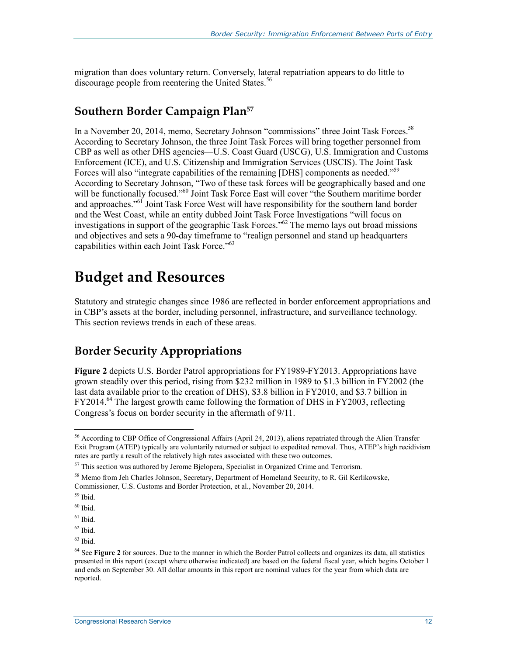migration than does voluntary return. Conversely, lateral repatriation appears to do little to discourage people from reentering the United States.<sup>56</sup>

#### **Southern Border Campaign Plan57**

In a November 20, 2014, memo, Secretary Johnson "commissions" three Joint Task Forces.<sup>58</sup> According to Secretary Johnson, the three Joint Task Forces will bring together personnel from CBP as well as other DHS agencies—U.S. Coast Guard (USCG), U.S. Immigration and Customs Enforcement (ICE), and U.S. Citizenship and Immigration Services (USCIS). The Joint Task Forces will also "integrate capabilities of the remaining [DHS] components as needed."<sup>59</sup> According to Secretary Johnson, "Two of these task forces will be geographically based and one will be functionally focused."<sup>60</sup> Joint Task Force East will cover "the Southern maritime border and approaches."<sup>61</sup> Joint Task Force West will have responsibility for the southern land border and the West Coast, while an entity dubbed Joint Task Force Investigations "will focus on investigations in support of the geographic Task Forces."62 The memo lays out broad missions and objectives and sets a 90-day timeframe to "realign personnel and stand up headquarters capabilities within each Joint Task Force."<sup>63</sup>

## **Budget and Resources**

Statutory and strategic changes since 1986 are reflected in border enforcement appropriations and in CBP's assets at the border, including personnel, infrastructure, and surveillance technology. This section reviews trends in each of these areas.

### **Border Security Appropriations**

**Figure 2** depicts U.S. Border Patrol appropriations for FY1989-FY2013. Appropriations have grown steadily over this period, rising from \$232 million in 1989 to \$1.3 billion in FY2002 (the last data available prior to the creation of DHS), \$3.8 billion in FY2010, and \$3.7 billion in  $FY2014<sup>64</sup>$ . The largest growth came following the formation of DHS in FY2003, reflecting Congress's focus on border security in the aftermath of 9/11.

<sup>&</sup>lt;sup>56</sup> According to CBP Office of Congressional Affairs (April 24, 2013), aliens repatriated through the Alien Transfer Exit Program (ATEP) typically are voluntarily returned or subject to expedited removal. Thus, ATEP's high recidivism rates are partly a result of the relatively high rates associated with these two outcomes.

 $57$  This section was authored by Jerome Bjelopera, Specialist in Organized Crime and Terrorism.

<sup>58</sup> Memo from Jeh Charles Johnson, Secretary, Department of Homeland Security, to R. Gil Kerlikowske, Commissioner, U.S. Customs and Border Protection, et al., November 20, 2014.

<sup>59</sup> Ibid.

 $60$  Ibid.

 $61$  Ibid.

 $62$  Ibid.

 $63$  Ibid.

<sup>64</sup> See **Figure 2** for sources. Due to the manner in which the Border Patrol collects and organizes its data, all statistics presented in this report (except where otherwise indicated) are based on the federal fiscal year, which begins October 1 and ends on September 30. All dollar amounts in this report are nominal values for the year from which data are reported.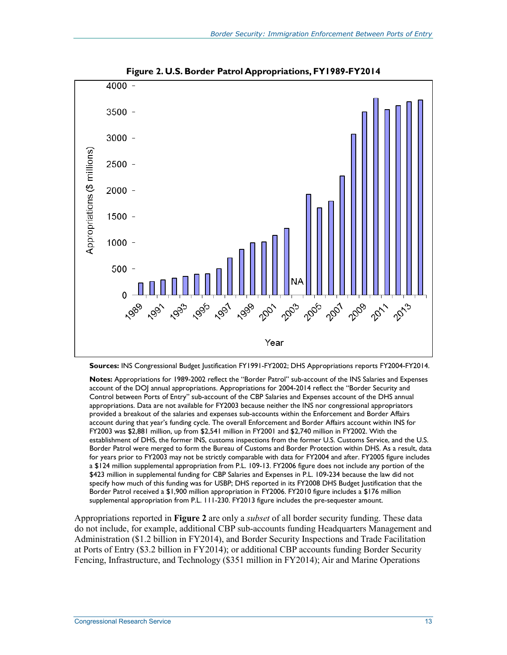

**Figure 2. U.S. Border Patrol Appropriations, FY1989-FY2014** 

**Sources:** INS Congressional Budget Justification FY1991-FY2002; DHS Appropriations reports FY2004-FY2014.

**Notes:** Appropriations for 1989-2002 reflect the "Border Patrol" sub-account of the INS Salaries and Expenses account of the DOJ annual appropriations. Appropriations for 2004-2014 reflect the "Border Security and Control between Ports of Entry" sub-account of the CBP Salaries and Expenses account of the DHS annual appropriations. Data are not available for FY2003 because neither the INS nor congressional appropriators provided a breakout of the salaries and expenses sub-accounts within the Enforcement and Border Affairs account during that year's funding cycle. The overall Enforcement and Border Affairs account within INS for FY2003 was \$2,881 million, up from \$2,541 million in FY2001 and \$2,740 million in FY2002. With the establishment of DHS, the former INS, customs inspections from the former U.S. Customs Service, and the U.S. Border Patrol were merged to form the Bureau of Customs and Border Protection within DHS. As a result, data for years prior to FY2003 may not be strictly comparable with data for FY2004 and after. FY2005 figure includes a \$124 million supplemental appropriation from P.L. 109-13. FY2006 figure does not include any portion of the \$423 million in supplemental funding for CBP Salaries and Expenses in P.L. 109-234 because the law did not specify how much of this funding was for USBP; DHS reported in its FY2008 DHS Budget Justification that the Border Patrol received a \$1,900 million appropriation in FY2006. FY2010 figure includes a \$176 million supplemental appropriation from P.L. 111-230. FY2013 figure includes the pre-sequester amount.

Appropriations reported in **Figure 2** are only a *subset* of all border security funding. These data do not include, for example, additional CBP sub-accounts funding Headquarters Management and Administration (\$1.2 billion in FY2014), and Border Security Inspections and Trade Facilitation at Ports of Entry (\$3.2 billion in FY2014); or additional CBP accounts funding Border Security Fencing, Infrastructure, and Technology (\$351 million in FY2014); Air and Marine Operations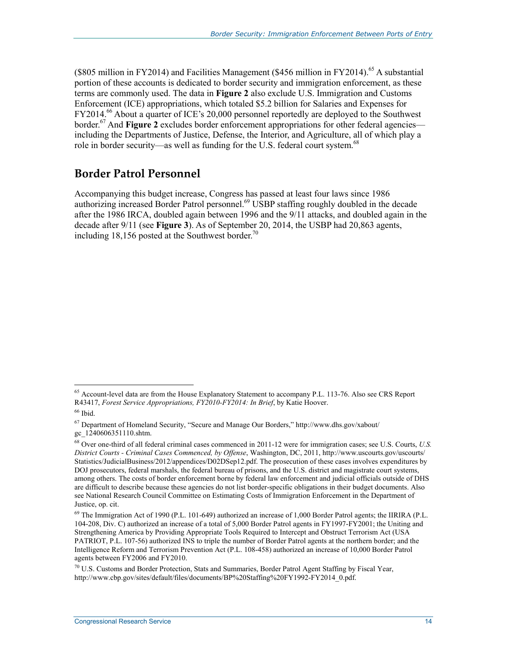(\$805 million in FY2014) and Facilities Management (\$456 million in FY2014).<sup>65</sup> A substantial portion of these accounts is dedicated to border security and immigration enforcement, as these terms are commonly used. The data in **Figure 2** also exclude U.S. Immigration and Customs Enforcement (ICE) appropriations, which totaled \$5.2 billion for Salaries and Expenses for FY2014.<sup>66</sup> About a quarter of ICE's 20,000 personnel reportedly are deployed to the Southwest border.<sup>67</sup> And **Figure 2** excludes border enforcement appropriations for other federal agencies including the Departments of Justice, Defense, the Interior, and Agriculture, all of which play a role in border security—as well as funding for the U.S. federal court system.<sup>68</sup>

#### **Border Patrol Personnel**

Accompanying this budget increase, Congress has passed at least four laws since 1986 authorizing increased Border Patrol personnel.<sup>69</sup> USBP staffing roughly doubled in the decade after the 1986 IRCA, doubled again between 1996 and the 9/11 attacks, and doubled again in the decade after 9/11 (see **Figure 3**). As of September 20, 2014, the USBP had 20,863 agents, including 18,156 posted at the Southwest border.<sup>70</sup>

<u>.</u>

 $<sup>65</sup>$  Account-level data are from the House Explanatory Statement to accompany P.L. 113-76. Also see CRS Report</sup> R43417, *Forest Service Appropriations, FY2010-FY2014: In Brief*, by Katie Hoover.

 $66$  Ibid.

<sup>67</sup> Department of Homeland Security, "Secure and Manage Our Borders," http://www.dhs.gov/xabout/ gc\_1240606351110.shtm.

<sup>68</sup> Over one-third of all federal criminal cases commenced in 2011-12 were for immigration cases; see U.S. Courts, *U.S. District Courts - Criminal Cases Commenced, by Offense*, Washington, DC, 2011, http://www.uscourts.gov/uscourts/ Statistics/JudicialBusiness/2012/appendices/D02DSep12.pdf. The prosecution of these cases involves expenditures by DOJ prosecutors, federal marshals, the federal bureau of prisons, and the U.S. district and magistrate court systems, among others. The costs of border enforcement borne by federal law enforcement and judicial officials outside of DHS are difficult to describe because these agencies do not list border-specific obligations in their budget documents. Also see National Research Council Committee on Estimating Costs of Immigration Enforcement in the Department of Justice, op. cit.

<sup>69</sup> The Immigration Act of 1990 (P.L. 101-649) authorized an increase of 1,000 Border Patrol agents; the IIRIRA (P.L. 104-208, Div. C) authorized an increase of a total of 5,000 Border Patrol agents in FY1997-FY2001; the Uniting and Strengthening America by Providing Appropriate Tools Required to Intercept and Obstruct Terrorism Act (USA PATRIOT, P.L. 107-56) authorized INS to triple the number of Border Patrol agents at the northern border; and the Intelligence Reform and Terrorism Prevention Act (P.L. 108-458) authorized an increase of 10,000 Border Patrol agents between FY2006 and FY2010.

<sup>70</sup> U.S. Customs and Border Protection, Stats and Summaries, Border Patrol Agent Staffing by Fiscal Year, http://www.cbp.gov/sites/default/files/documents/BP%20Staffing%20FY1992-FY2014\_0.pdf.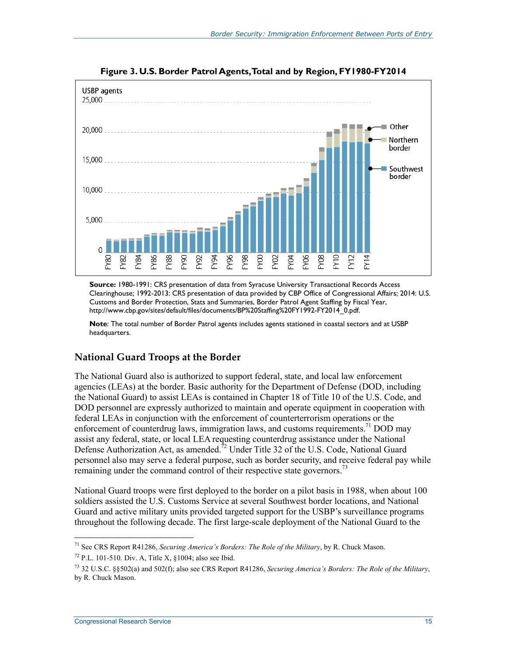

**Figure 3. U.S. Border Patrol Agents, Total and by Region, FY1980-FY2014** 

**Source:** 1980-1991: CRS presentation of data from Syracuse University Transactional Records Access Clearinghouse; 1992-2013: CRS presentation of data provided by CBP Office of Congressional Affairs; 2014: U.S. Customs and Border Protection, Stats and Summaries, Border Patrol Agent Staffing by Fiscal Year, http://www.cbp.gov/sites/default/files/documents/BP%20Staffing%20FY1992-FY2014\_0.pdf.

**Note**: The total number of Border Patrol agents includes agents stationed in coastal sectors and at USBP headquarters.

#### **National Guard Troops at the Border**

The National Guard also is authorized to support federal, state, and local law enforcement agencies (LEAs) at the border. Basic authority for the Department of Defense (DOD, including the National Guard) to assist LEAs is contained in Chapter 18 of Title 10 of the U.S. Code, and DOD personnel are expressly authorized to maintain and operate equipment in cooperation with federal LEAs in conjunction with the enforcement of counterterrorism operations or the enforcement of counterdrug laws, immigration laws, and customs requirements.<sup>71</sup> DOD may assist any federal, state, or local LEA requesting counterdrug assistance under the National Defense Authorization Act, as amended.<sup>72</sup> Under Title 32 of the U.S. Code, National Guard personnel also may serve a federal purpose, such as border security, and receive federal pay while remaining under the command control of their respective state governors.<sup>73</sup>

National Guard troops were first deployed to the border on a pilot basis in 1988, when about 100 soldiers assisted the U.S. Customs Service at several Southwest border locations, and National Guard and active military units provided targeted support for the USBP's surveillance programs throughout the following decade. The first large-scale deployment of the National Guard to the

<sup>1</sup> 71 See CRS Report R41286, *Securing America's Borders: The Role of the Military*, by R. Chuck Mason.

 $72$  P.L. 101-510. Div. A, Title X, §1004; also see Ibid.

<sup>73 32</sup> U.S.C. §§502(a) and 502(f); also see CRS Report R41286, *Securing America's Borders: The Role of the Military*, by R. Chuck Mason.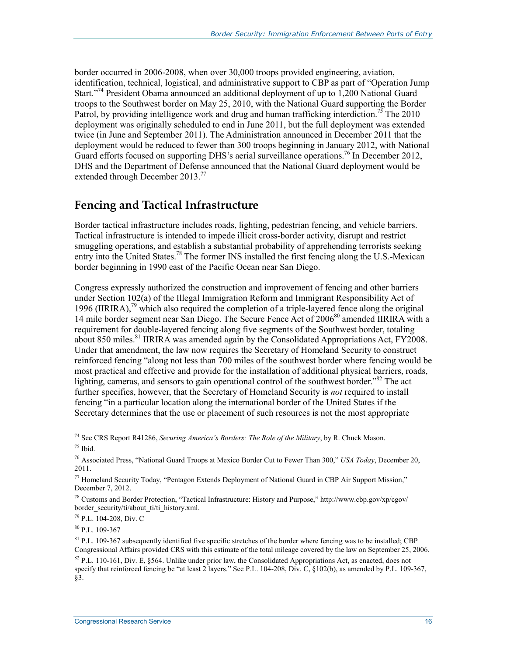border occurred in 2006-2008, when over 30,000 troops provided engineering, aviation, identification, technical, logistical, and administrative support to CBP as part of "Operation Jump Start."74 President Obama announced an additional deployment of up to 1,200 National Guard troops to the Southwest border on May 25, 2010, with the National Guard supporting the Border Patrol, by providing intelligence work and drug and human trafficking interdiction.<sup>75</sup> The 2010 deployment was originally scheduled to end in June 2011, but the full deployment was extended twice (in June and September 2011). The Administration announced in December 2011 that the deployment would be reduced to fewer than 300 troops beginning in January 2012, with National Guard efforts focused on supporting DHS's aerial surveillance operations.<sup>76</sup> In December 2012, DHS and the Department of Defense announced that the National Guard deployment would be extended through December 2013.<sup>77</sup>

#### **Fencing and Tactical Infrastructure**

Border tactical infrastructure includes roads, lighting, pedestrian fencing, and vehicle barriers. Tactical infrastructure is intended to impede illicit cross-border activity, disrupt and restrict smuggling operations, and establish a substantial probability of apprehending terrorists seeking entry into the United States.<sup>78</sup> The former INS installed the first fencing along the U.S.-Mexican border beginning in 1990 east of the Pacific Ocean near San Diego.

Congress expressly authorized the construction and improvement of fencing and other barriers under Section 102(a) of the Illegal Immigration Reform and Immigrant Responsibility Act of 1996 (IIRIRA),<sup>79</sup> which also required the completion of a triple-layered fence along the original 14 mile border segment near San Diego. The Secure Fence Act of 2006<sup>80</sup> amended IIRIRA with a requirement for double-layered fencing along five segments of the Southwest border, totaling about 850 miles.<sup>81</sup> IIRIRA was amended again by the Consolidated Appropriations Act, FY2008. Under that amendment, the law now requires the Secretary of Homeland Security to construct reinforced fencing "along not less than 700 miles of the southwest border where fencing would be most practical and effective and provide for the installation of additional physical barriers, roads, lighting, cameras, and sensors to gain operational control of the southwest border."<sup>82</sup> The act further specifies, however, that the Secretary of Homeland Security is *not* required to install fencing "in a particular location along the international border of the United States if the Secretary determines that the use or placement of such resources is not the most appropriate

79 P.L. 104-208, Div. C

80 P.L. 109-367

<sup>74</sup> See CRS Report R41286, *Securing America's Borders: The Role of the Military*, by R. Chuck Mason.  $75$  Ibid.

<sup>76</sup> Associated Press, "National Guard Troops at Mexico Border Cut to Fewer Than 300," *USA Today*, December 20, 2011.

<sup>77</sup> Homeland Security Today, "Pentagon Extends Deployment of National Guard in CBP Air Support Mission," December 7, 2012.

<sup>78</sup> Customs and Border Protection, "Tactical Infrastructure: History and Purpose," http://www.cbp.gov/xp/cgov/ border\_security/ti/about\_ti/ti\_history.xml.

 $81$  P.L. 109-367 subsequently identified five specific stretches of the border where fencing was to be installed; CBP Congressional Affairs provided CRS with this estimate of the total mileage covered by the law on September 25, 2006.

 $82$  P.L. 110-161, Div. E, §564. Unlike under prior law, the Consolidated Appropriations Act, as enacted, does not specify that reinforced fencing be "at least 2 layers." See P.L. 104-208, Div. C, §102(b), as amended by P.L. 109-367, §3.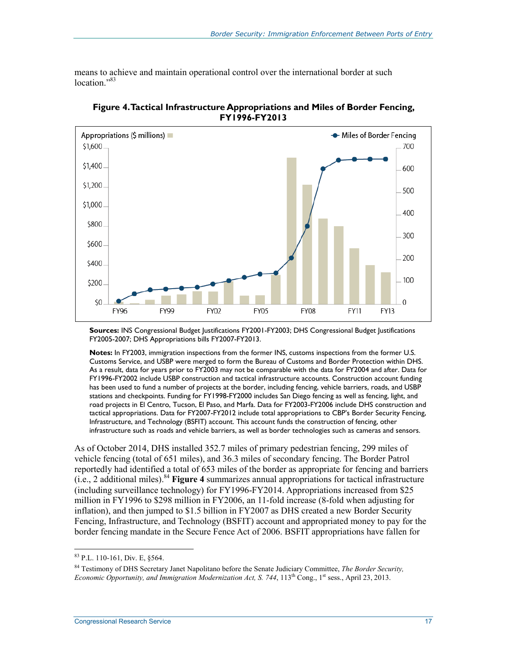means to achieve and maintain operational control over the international border at such location."<sup>83</sup>



**Figure 4. Tactical Infrastructure Appropriations and Miles of Border Fencing, FY1996-FY2013** 

**Sources:** INS Congressional Budget Justifications FY2001-FY2003; DHS Congressional Budget Justifications FY2005-2007; DHS Appropriations bills FY2007-FY2013.

**Notes:** In FY2003, immigration inspections from the former INS, customs inspections from the former U.S. Customs Service, and USBP were merged to form the Bureau of Customs and Border Protection within DHS. As a result, data for years prior to FY2003 may not be comparable with the data for FY2004 and after. Data for FY1996-FY2002 include USBP construction and tactical infrastructure accounts. Construction account funding has been used to fund a number of projects at the border, including fencing, vehicle barriers, roads, and USBP stations and checkpoints. Funding for FY1998-FY2000 includes San Diego fencing as well as fencing, light, and road projects in El Centro, Tucson, El Paso, and Marfa. Data for FY2003-FY2006 include DHS construction and tactical appropriations. Data for FY2007-FY2012 include total appropriations to CBP's Border Security Fencing, Infrastructure, and Technology (BSFIT) account. This account funds the construction of fencing, other infrastructure such as roads and vehicle barriers, as well as border technologies such as cameras and sensors.

As of October 2014, DHS installed 352.7 miles of primary pedestrian fencing, 299 miles of vehicle fencing (total of 651 miles), and 36.3 miles of secondary fencing. The Border Patrol reportedly had identified a total of 653 miles of the border as appropriate for fencing and barriers (i.e., 2 additional miles).84 **Figure 4** summarizes annual appropriations for tactical infrastructure (including surveillance technology) for FY1996-FY2014. Appropriations increased from \$25 million in FY1996 to \$298 million in FY2006, an 11-fold increase (8-fold when adjusting for inflation), and then jumped to \$1.5 billion in FY2007 as DHS created a new Border Security Fencing, Infrastructure, and Technology (BSFIT) account and appropriated money to pay for the border fencing mandate in the Secure Fence Act of 2006. BSFIT appropriations have fallen for

<sup>83</sup> P.L. 110-161, Div. E, §564.

<sup>84</sup> Testimony of DHS Secretary Janet Napolitano before the Senate Judiciary Committee, *The Border Security, Economic Opportunity, and Immigration Modernization Act, S. 744, 113<sup>th</sup> Cong., 1<sup>st</sup> sess., April 23, 2013.*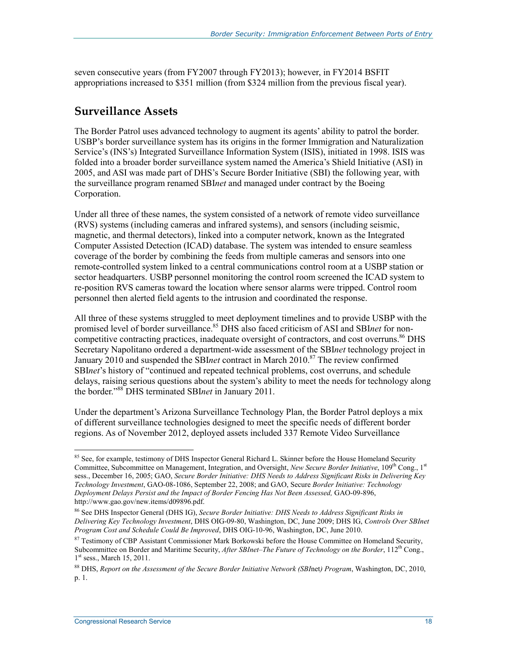seven consecutive years (from FY2007 through FY2013); however, in FY2014 BSFIT appropriations increased to \$351 million (from \$324 million from the previous fiscal year).

#### **Surveillance Assets**

The Border Patrol uses advanced technology to augment its agents' ability to patrol the border. USBP's border surveillance system has its origins in the former Immigration and Naturalization Service's (INS's) Integrated Surveillance Information System (ISIS), initiated in 1998. ISIS was folded into a broader border surveillance system named the America's Shield Initiative (ASI) in 2005, and ASI was made part of DHS's Secure Border Initiative (SBI) the following year, with the surveillance program renamed SBI*net* and managed under contract by the Boeing Corporation.

Under all three of these names, the system consisted of a network of remote video surveillance (RVS) systems (including cameras and infrared systems), and sensors (including seismic, magnetic, and thermal detectors), linked into a computer network, known as the Integrated Computer Assisted Detection (ICAD) database. The system was intended to ensure seamless coverage of the border by combining the feeds from multiple cameras and sensors into one remote-controlled system linked to a central communications control room at a USBP station or sector headquarters. USBP personnel monitoring the control room screened the ICAD system to re-position RVS cameras toward the location where sensor alarms were tripped. Control room personnel then alerted field agents to the intrusion and coordinated the response.

All three of these systems struggled to meet deployment timelines and to provide USBP with the promised level of border surveillance.<sup>85</sup> DHS also faced criticism of ASI and SBI*net* for noncompetitive contracting practices, inadequate oversight of contractors, and cost overruns.<sup>86</sup> DHS Secretary Napolitano ordered a department-wide assessment of the SBI*net* technology project in January 2010 and suspended the SBI*net* contract in March 2010.87 The review confirmed SBI*net*'s history of "continued and repeated technical problems, cost overruns, and schedule delays, raising serious questions about the system's ability to meet the needs for technology along the border."88 DHS terminated SBI*net* in January 2011.

Under the department's Arizona Surveillance Technology Plan, the Border Patrol deploys a mix of different surveillance technologies designed to meet the specific needs of different border regions. As of November 2012, deployed assets included 337 Remote Video Surveillance

<u>.</u>

<sup>&</sup>lt;sup>85</sup> See, for example, testimony of DHS Inspector General Richard L. Skinner before the House Homeland Security Committee, Subcommittee on Management, Integration, and Oversight, *New Secure Border Initiative*, 109<sup>th</sup> Cong., 1<sup>st</sup> sess., December 16, 2005; GAO, *Secure Border Initiative: DHS Needs to Address Significant Risks in Delivering Key Technology Investment*, GAO-08-1086, September 22, 2008; and GAO, Secure *Border Initiative: Technology Deployment Delays Persist and the Impact of Border Fencing Has Not Been Assessed,* GAO-09-896, http://www.gao.gov/new.items/d09896.pdf.

<sup>86</sup> See DHS Inspector General (DHS IG), *Secure Border Initiative: DHS Needs to Address Significant Risks in Delivering Key Technology Investment*, DHS OIG-09-80, Washington, DC, June 2009; DHS IG, *Controls Over SBInet Program Cost and Schedule Could Be Improved*, DHS OIG-10-96, Washington, DC, June 2010.

<sup>&</sup>lt;sup>87</sup> Testimony of CBP Assistant Commissioner Mark Borkowski before the House Committee on Homeland Security, Subcommittee on Border and Maritime Security, *After SBInet–The Future of Technology on the Border*, 112<sup>th</sup> Cong.,  $1<sup>st</sup>$  sess., March 15, 2011.

<sup>88</sup> DHS, *Report on the Assessment of the Secure Border Initiative Network (SBI*net*) Program*, Washington, DC, 2010, p. 1.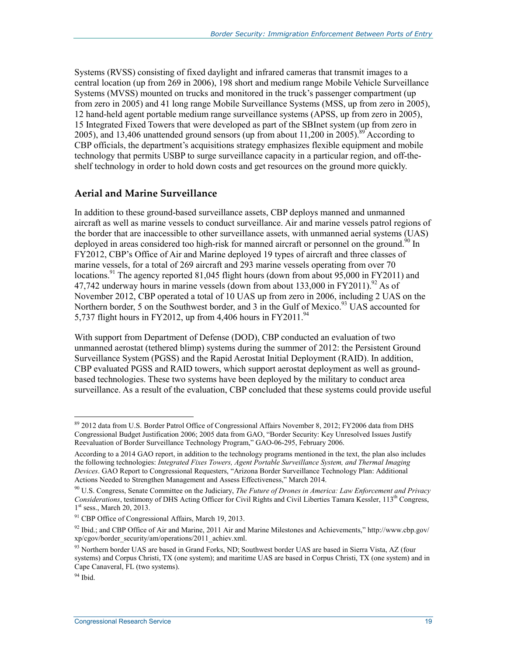Systems (RVSS) consisting of fixed daylight and infrared cameras that transmit images to a central location (up from 269 in 2006), 198 short and medium range Mobile Vehicle Surveillance Systems (MVSS) mounted on trucks and monitored in the truck's passenger compartment (up from zero in 2005) and 41 long range Mobile Surveillance Systems (MSS, up from zero in 2005), 12 hand-held agent portable medium range surveillance systems (APSS, up from zero in 2005), 15 Integrated Fixed Towers that were developed as part of the SBInet system (up from zero in 2005), and 13,406 unattended ground sensors (up from about 11,200 in 2005).<sup>89</sup> According to CBP officials, the department's acquisitions strategy emphasizes flexible equipment and mobile technology that permits USBP to surge surveillance capacity in a particular region, and off-theshelf technology in order to hold down costs and get resources on the ground more quickly.

#### **Aerial and Marine Surveillance**

In addition to these ground-based surveillance assets, CBP deploys manned and unmanned aircraft as well as marine vessels to conduct surveillance. Air and marine vessels patrol regions of the border that are inaccessible to other surveillance assets, with unmanned aerial systems (UAS) deployed in areas considered too high-risk for manned aircraft or personnel on the ground.<sup>90</sup> In FY2012, CBP's Office of Air and Marine deployed 19 types of aircraft and three classes of marine vessels, for a total of 269 aircraft and 293 marine vessels operating from over 70 locations.<sup>91</sup> The agency reported 81,045 flight hours (down from about  $95,000$  in FY2011) and 47,742 underway hours in marine vessels (down from about  $133,000$  in FY2011).<sup>92</sup> As of November 2012, CBP operated a total of 10 UAS up from zero in 2006, including 2 UAS on the Northern border, 5 on the Southwest border, and 3 in the Gulf of Mexico.<sup>93</sup> UAS accounted for 5,737 flight hours in FY2012, up from 4,406 hours in FY2011.<sup>94</sup>

With support from Department of Defense (DOD), CBP conducted an evaluation of two unmanned aerostat (tethered blimp) systems during the summer of 2012: the Persistent Ground Surveillance System (PGSS) and the Rapid Aerostat Initial Deployment (RAID). In addition, CBP evaluated PGSS and RAID towers, which support aerostat deployment as well as groundbased technologies. These two systems have been deployed by the military to conduct area surveillance. As a result of the evaluation, CBP concluded that these systems could provide useful

<sup>89 2012</sup> data from U.S. Border Patrol Office of Congressional Affairs November 8, 2012; FY2006 data from DHS Congressional Budget Justification 2006; 2005 data from GAO, "Border Security: Key Unresolved Issues Justify Reevaluation of Border Surveillance Technology Program," GAO-06-295, February 2006.

According to a 2014 GAO report, in addition to the technology programs mentioned in the text, the plan also includes the following technologies: *Integrated Fixes Towers, Agent Portable Surveillance System, and Thermal Imaging Devices*. GAO Report to Congressional Requesters, "Arizona Border Surveillance Technology Plan: Additional Actions Needed to Strengthen Management and Assess Effectiveness," March 2014.

<sup>90</sup> U.S. Congress, Senate Committee on the Judiciary, *The Future of Drones in America: Law Enforcement and Privacy Considerations*, testimony of DHS Acting Officer for Civil Rights and Civil Liberties Tamara Kessler, 113th Congress, 1<sup>st</sup> sess., March 20, 2013.

<sup>&</sup>lt;sup>91</sup> CBP Office of Congressional Affairs, March 19, 2013.

 $92$  Ibid.; and CBP Office of Air and Marine, 2011 Air and Marine Milestones and Achievements," http://www.cbp.gov/ xp/cgov/border\_security/am/operations/2011\_achiev.xml.

<sup>&</sup>lt;sup>93</sup> Northern border UAS are based in Grand Forks, ND; Southwest border UAS are based in Sierra Vista, AZ (four systems) and Corpus Christi, TX (one system); and maritime UAS are based in Corpus Christi, TX (one system) and in Cape Canaveral, FL (two systems).

 $94$  Ibid.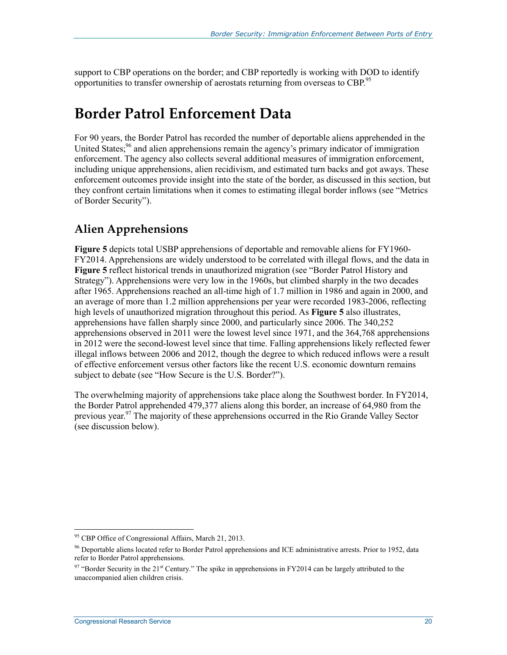support to CBP operations on the border; and CBP reportedly is working with DOD to identify opportunities to transfer ownership of aerostats returning from overseas to CBP.<sup>95</sup>

## **Border Patrol Enforcement Data**

For 90 years, the Border Patrol has recorded the number of deportable aliens apprehended in the United States;<sup>96</sup> and alien apprehensions remain the agency's primary indicator of immigration enforcement. The agency also collects several additional measures of immigration enforcement, including unique apprehensions, alien recidivism, and estimated turn backs and got aways. These enforcement outcomes provide insight into the state of the border, as discussed in this section, but they confront certain limitations when it comes to estimating illegal border inflows (see "Metrics of Border Security").

### **Alien Apprehensions**

**Figure 5** depicts total USBP apprehensions of deportable and removable aliens for FY1960- FY2014. Apprehensions are widely understood to be correlated with illegal flows, and the data in **Figure 5** reflect historical trends in unauthorized migration (see "Border Patrol History and Strategy"). Apprehensions were very low in the 1960s, but climbed sharply in the two decades after 1965. Apprehensions reached an all-time high of 1.7 million in 1986 and again in 2000, and an average of more than 1.2 million apprehensions per year were recorded 1983-2006, reflecting high levels of unauthorized migration throughout this period. As **Figure 5** also illustrates, apprehensions have fallen sharply since 2000, and particularly since 2006. The 340,252 apprehensions observed in 2011 were the lowest level since 1971, and the 364,768 apprehensions in 2012 were the second-lowest level since that time. Falling apprehensions likely reflected fewer illegal inflows between 2006 and 2012, though the degree to which reduced inflows were a result of effective enforcement versus other factors like the recent U.S. economic downturn remains subject to debate (see "How Secure is the U.S. Border?").

The overwhelming majority of apprehensions take place along the Southwest border. In FY2014, the Border Patrol apprehended 479,377 aliens along this border, an increase of 64,980 from the previous year.<sup>97</sup> The majority of these apprehensions occurred in the Rio Grande Valley Sector (see discussion below).

<sup>&</sup>lt;sup>95</sup> CBP Office of Congressional Affairs, March 21, 2013.

<sup>96</sup> Deportable aliens located refer to Border Patrol apprehensions and ICE administrative arrests. Prior to 1952, data refer to Border Patrol apprehensions.

<sup>&</sup>lt;sup>97</sup> "Border Security in the 21<sup>st</sup> Century." The spike in apprehensions in FY2014 can be largely attributed to the unaccompanied alien children crisis.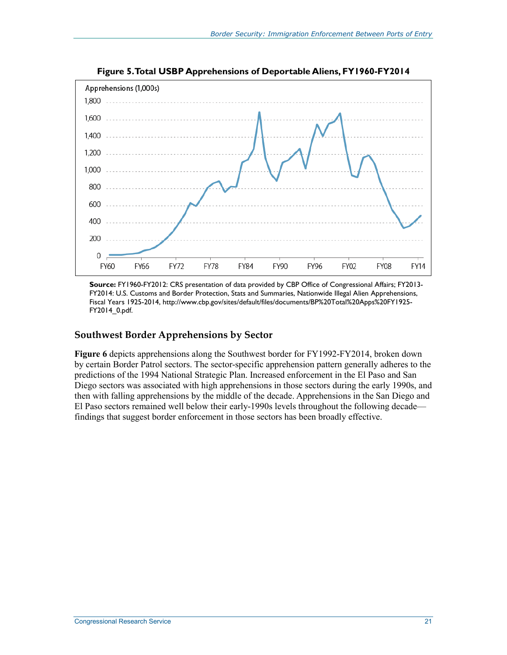

**Figure 5. Total USBP Apprehensions of Deportable Aliens, FY1960-FY2014** 

**Source:** FY1960-FY2012: CRS presentation of data provided by CBP Office of Congressional Affairs; FY2013- FY2014: U.S. Customs and Border Protection, Stats and Summaries, Nationwide Illegal Alien Apprehensions, Fiscal Years 1925-2014, http://www.cbp.gov/sites/default/files/documents/BP%20Total%20Apps%20FY1925- FY2014\_0.pdf.

#### **Southwest Border Apprehensions by Sector**

**Figure 6** depicts apprehensions along the Southwest border for FY1992-FY2014, broken down by certain Border Patrol sectors. The sector-specific apprehension pattern generally adheres to the predictions of the 1994 National Strategic Plan. Increased enforcement in the El Paso and San Diego sectors was associated with high apprehensions in those sectors during the early 1990s, and then with falling apprehensions by the middle of the decade. Apprehensions in the San Diego and El Paso sectors remained well below their early-1990s levels throughout the following decade findings that suggest border enforcement in those sectors has been broadly effective.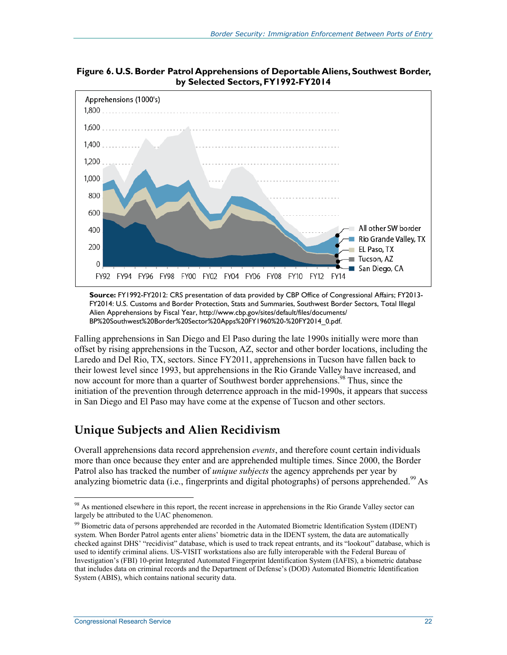

**Figure 6. U.S. Border Patrol Apprehensions of Deportable Aliens, Southwest Border, by Selected Sectors, FY1992-FY2014** 

**Source:** FY1992-FY2012: CRS presentation of data provided by CBP Office of Congressional Affairs; FY2013- FY2014: U.S. Customs and Border Protection, Stats and Summaries, Southwest Border Sectors, Total Illegal Alien Apprehensions by Fiscal Year, http://www.cbp.gov/sites/default/files/documents/ BP%20Southwest%20Border%20Sector%20Apps%20FY1960%20-%20FY2014\_0.pdf.

Falling apprehensions in San Diego and El Paso during the late 1990s initially were more than offset by rising apprehensions in the Tucson, AZ, sector and other border locations, including the Laredo and Del Rio, TX, sectors. Since FY2011, apprehensions in Tucson have fallen back to their lowest level since 1993, but apprehensions in the Rio Grande Valley have increased, and now account for more than a quarter of Southwest border apprehensions.<sup>98</sup> Thus, since the initiation of the prevention through deterrence approach in the mid-1990s, it appears that success in San Diego and El Paso may have come at the expense of Tucson and other sectors.

#### **Unique Subjects and Alien Recidivism**

Overall apprehensions data record apprehension *events*, and therefore count certain individuals more than once because they enter and are apprehended multiple times. Since 2000, the Border Patrol also has tracked the number of *unique subjects* the agency apprehends per year by analyzing biometric data (i.e., fingerprints and digital photographs) of persons apprehended.<sup>99</sup> As

<sup>&</sup>lt;sup>98</sup> As mentioned elsewhere in this report, the recent increase in apprehensions in the Rio Grande Valley sector can largely be attributed to the UAC phenomenon.

<sup>&</sup>lt;sup>99</sup> Biometric data of persons apprehended are recorded in the Automated Biometric Identification System (IDENT) system. When Border Patrol agents enter aliens' biometric data in the IDENT system, the data are automatically checked against DHS' "recidivist" database, which is used to track repeat entrants, and its "lookout" database, which is used to identify criminal aliens. US-VISIT workstations also are fully interoperable with the Federal Bureau of Investigation's (FBI) 10-print Integrated Automated Fingerprint Identification System (IAFIS), a biometric database that includes data on criminal records and the Department of Defense's (DOD) Automated Biometric Identification System (ABIS), which contains national security data.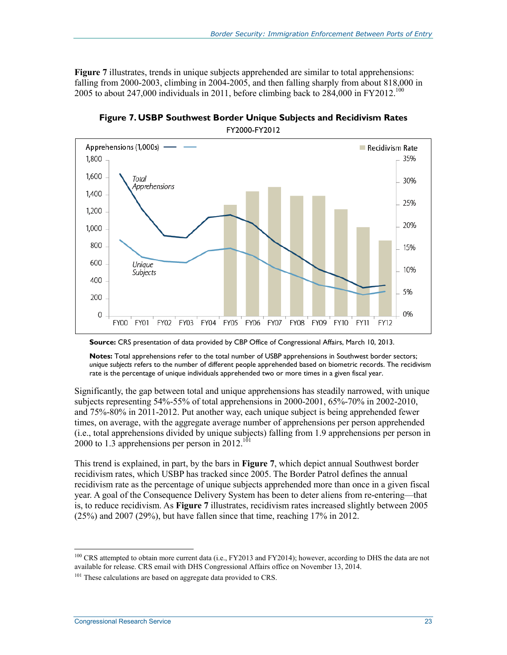**Figure 7** illustrates, trends in unique subjects apprehended are similar to total apprehensions: falling from 2000-2003, climbing in 2004-2005, and then falling sharply from about 818,000 in 2005 to about 247,000 individuals in 2011, before climbing back to  $284,000$  in FY2012.<sup>100</sup>



**Figure 7. USBP Southwest Border Unique Subjects and Recidivism Rates**  FY2000-FY2012

**Notes:** Total apprehensions refer to the total number of USBP apprehensions in Southwest border sectors; *unique subjects* refers to the number of different people apprehended based on biometric records. The recidivism rate is the percentage of unique individuals apprehended two or more times in a given fiscal year.

Significantly, the gap between total and unique apprehensions has steadily narrowed, with unique subjects representing  $54\% - 55\%$  of total apprehensions in 2000-2001,  $65\% - 70\%$  in 2002-2010, and 75%-80% in 2011-2012. Put another way, each unique subject is being apprehended fewer times, on average, with the aggregate average number of apprehensions per person apprehended (i.e., total apprehensions divided by unique subjects) falling from 1.9 apprehensions per person in 2000 to 1.3 apprehensions per person in  $2012$ <sup>101</sup>

This trend is explained, in part, by the bars in **Figure 7**, which depict annual Southwest border recidivism rates, which USBP has tracked since 2005. The Border Patrol defines the annual recidivism rate as the percentage of unique subjects apprehended more than once in a given fiscal year. A goal of the Consequence Delivery System has been to deter aliens from re-entering—that is, to reduce recidivism. As **Figure 7** illustrates, recidivism rates increased slightly between 2005 (25%) and 2007 (29%), but have fallen since that time, reaching 17% in 2012.

**Source:** CRS presentation of data provided by CBP Office of Congressional Affairs, March 10, 2013.

<sup>&</sup>lt;sup>100</sup> CRS attempted to obtain more current data (i.e., FY2013 and FY2014); however, according to DHS the data are not available for release. CRS email with DHS Congressional Affairs office on November 13, 2014.

 $101$  These calculations are based on aggregate data provided to CRS.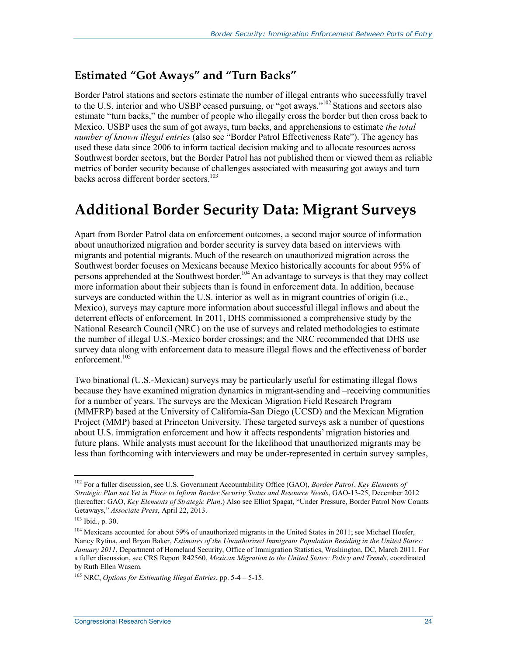#### **Estimated "Got Aways" and "Turn Backs"**

Border Patrol stations and sectors estimate the number of illegal entrants who successfully travel to the U.S. interior and who USBP ceased pursuing, or "got aways."<sup>102</sup> Stations and sectors also estimate "turn backs," the number of people who illegally cross the border but then cross back to Mexico. USBP uses the sum of got aways, turn backs, and apprehensions to estimate *the total number of known illegal entries* (also see "Border Patrol Effectiveness Rate"). The agency has used these data since 2006 to inform tactical decision making and to allocate resources across Southwest border sectors, but the Border Patrol has not published them or viewed them as reliable metrics of border security because of challenges associated with measuring got aways and turn backs across different border sectors.<sup>103</sup>

## **Additional Border Security Data: Migrant Surveys**

Apart from Border Patrol data on enforcement outcomes, a second major source of information about unauthorized migration and border security is survey data based on interviews with migrants and potential migrants. Much of the research on unauthorized migration across the Southwest border focuses on Mexicans because Mexico historically accounts for about 95% of persons apprehended at the Southwest border.<sup>104</sup> An advantage to surveys is that they may collect more information about their subjects than is found in enforcement data. In addition, because surveys are conducted within the U.S. interior as well as in migrant countries of origin (i.e., Mexico), surveys may capture more information about successful illegal inflows and about the deterrent effects of enforcement. In 2011, DHS commissioned a comprehensive study by the National Research Council (NRC) on the use of surveys and related methodologies to estimate the number of illegal U.S.-Mexico border crossings; and the NRC recommended that DHS use survey data along with enforcement data to measure illegal flows and the effectiveness of border enforcement.<sup>105</sup>

Two binational (U.S.-Mexican) surveys may be particularly useful for estimating illegal flows because they have examined migration dynamics in migrant-sending and –receiving communities for a number of years. The surveys are the Mexican Migration Field Research Program (MMFRP) based at the University of California-San Diego (UCSD) and the Mexican Migration Project (MMP) based at Princeton University. These targeted surveys ask a number of questions about U.S. immigration enforcement and how it affects respondents' migration histories and future plans. While analysts must account for the likelihood that unauthorized migrants may be less than forthcoming with interviewers and may be under-represented in certain survey samples,

<sup>&</sup>lt;u>.</u> 102 For a fuller discussion, see U.S. Government Accountability Office (GAO), *Border Patrol: Key Elements of Strategic Plan not Yet in Place to Inform Border Security Status and Resource Needs*, GAO-13-25, December 2012 (hereafter: GAO, *Key Elements of Strategic Plan*.) Also see Elliot Spagat, "Under Pressure, Border Patrol Now Counts Getaways," *Associate Press*, April 22, 2013.

<sup>103</sup> Ibid., p. 30.

<sup>&</sup>lt;sup>104</sup> Mexicans accounted for about 59% of unauthorized migrants in the United States in 2011; see Michael Hoefer, Nancy Rytina, and Bryan Baker, *Estimates of the Unauthorized Immigrant Population Residing in the United States: January 2011*, Department of Homeland Security, Office of Immigration Statistics, Washington, DC, March 2011. For a fuller discussion, see CRS Report R42560, *Mexican Migration to the United States: Policy and Trends*, coordinated by Ruth Ellen Wasem.

<sup>105</sup> NRC, *Options for Estimating Illegal Entries*, pp. 5-4 – 5-15.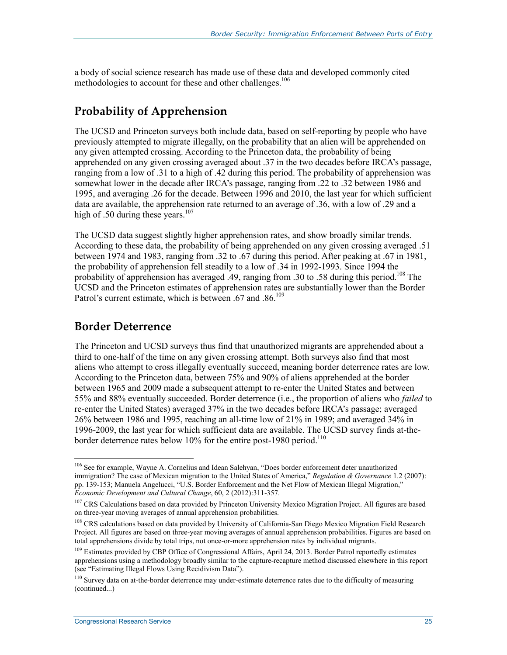a body of social science research has made use of these data and developed commonly cited methodologies to account for these and other challenges.<sup>106</sup>

### **Probability of Apprehension**

The UCSD and Princeton surveys both include data, based on self-reporting by people who have previously attempted to migrate illegally, on the probability that an alien will be apprehended on any given attempted crossing. According to the Princeton data, the probability of being apprehended on any given crossing averaged about .37 in the two decades before IRCA's passage, ranging from a low of .31 to a high of .42 during this period. The probability of apprehension was somewhat lower in the decade after IRCA's passage, ranging from .22 to .32 between 1986 and 1995, and averaging .26 for the decade. Between 1996 and 2010, the last year for which sufficient data are available, the apprehension rate returned to an average of .36, with a low of .29 and a high of .50 during these years. $107$ 

The UCSD data suggest slightly higher apprehension rates, and show broadly similar trends. According to these data, the probability of being apprehended on any given crossing averaged .51 between 1974 and 1983, ranging from .32 to .67 during this period. After peaking at .67 in 1981, the probability of apprehension fell steadily to a low of .34 in 1992-1993. Since 1994 the probability of apprehension has averaged .49, ranging from .30 to .58 during this period.<sup>108</sup> The UCSD and the Princeton estimates of apprehension rates are substantially lower than the Border Patrol's current estimate, which is between .67 and .86.<sup>109</sup>

#### **Border Deterrence**

<u>.</u>

The Princeton and UCSD surveys thus find that unauthorized migrants are apprehended about a third to one-half of the time on any given crossing attempt. Both surveys also find that most aliens who attempt to cross illegally eventually succeed, meaning border deterrence rates are low. According to the Princeton data, between 75% and 90% of aliens apprehended at the border between 1965 and 2009 made a subsequent attempt to re-enter the United States and between 55% and 88% eventually succeeded. Border deterrence (i.e., the proportion of aliens who *failed* to re-enter the United States) averaged 37% in the two decades before IRCA's passage; averaged 26% between 1986 and 1995, reaching an all-time low of 21% in 1989; and averaged 34% in 1996-2009, the last year for which sufficient data are available. The UCSD survey finds at-theborder deterrence rates below 10% for the entire post-1980 period.<sup>110</sup>

<sup>&</sup>lt;sup>106</sup> See for example, Wayne A. Cornelius and Idean Salehyan, "Does border enforcement deter unauthorized immigration? The case of Mexican migration to the United States of America," *Regulation & Governance* 1.2 (2007): pp. 139-153; Manuela Angelucci, "U.S. Border Enforcement and the Net Flow of Mexican Illegal Migration," *Economic Development and Cultural Change*, 60, 2 (2012):311-357.

<sup>&</sup>lt;sup>107</sup> CRS Calculations based on data provided by Princeton University Mexico Migration Project. All figures are based on three-year moving averages of annual apprehension probabilities.

<sup>&</sup>lt;sup>108</sup> CRS calculations based on data provided by University of California-San Diego Mexico Migration Field Research Project. All figures are based on three-year moving averages of annual apprehension probabilities. Figures are based on total apprehensions divide by total trips, not once-or-more apprehension rates by individual migrants.

<sup>&</sup>lt;sup>109</sup> Estimates provided by CBP Office of Congressional Affairs, April 24, 2013. Border Patrol reportedly estimates apprehensions using a methodology broadly similar to the capture-recapture method discussed elsewhere in this report (see "Estimating Illegal Flows Using Recidivism Data").

<sup>&</sup>lt;sup>110</sup> Survey data on at-the-border deterrence may under-estimate deterrence rates due to the difficulty of measuring (continued...)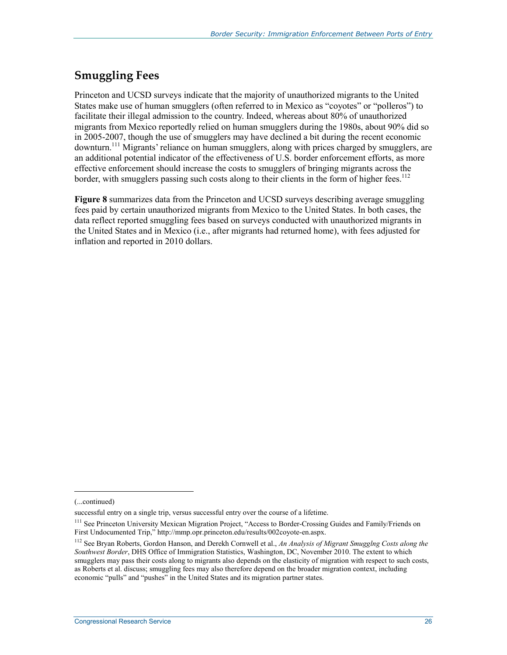### **Smuggling Fees**

Princeton and UCSD surveys indicate that the majority of unauthorized migrants to the United States make use of human smugglers (often referred to in Mexico as "coyotes" or "polleros") to facilitate their illegal admission to the country. Indeed, whereas about 80% of unauthorized migrants from Mexico reportedly relied on human smugglers during the 1980s, about 90% did so in 2005-2007, though the use of smugglers may have declined a bit during the recent economic downturn.<sup>111</sup> Migrants' reliance on human smugglers, along with prices charged by smugglers, are an additional potential indicator of the effectiveness of U.S. border enforcement efforts, as more effective enforcement should increase the costs to smugglers of bringing migrants across the border, with smugglers passing such costs along to their clients in the form of higher fees.<sup>112</sup>

**Figure 8** summarizes data from the Princeton and UCSD surveys describing average smuggling fees paid by certain unauthorized migrants from Mexico to the United States. In both cases, the data reflect reported smuggling fees based on surveys conducted with unauthorized migrants in the United States and in Mexico (i.e., after migrants had returned home), with fees adjusted for inflation and reported in 2010 dollars.

 $\overline{a}$ 

<sup>(...</sup>continued)

successful entry on a single trip, versus successful entry over the course of a lifetime.

<sup>&</sup>lt;sup>111</sup> See Princeton University Mexican Migration Project, "Access to Border-Crossing Guides and Family/Friends on First Undocumented Trip," http://mmp.opr.princeton.edu/results/002coyote-en.aspx.

<sup>112</sup> See Bryan Roberts, Gordon Hanson, and Derekh Cornwell et al., *An Analysis of Migrant Smugglng Costs along the Southwest Border*, DHS Office of Immigration Statistics, Washington, DC, November 2010. The extent to which smugglers may pass their costs along to migrants also depends on the elasticity of migration with respect to such costs, as Roberts et al. discuss; smuggling fees may also therefore depend on the broader migration context, including economic "pulls" and "pushes" in the United States and its migration partner states.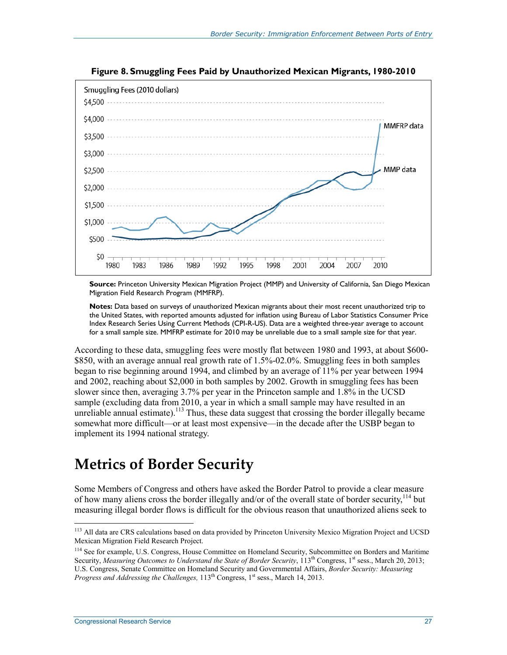

**Figure 8. Smuggling Fees Paid by Unauthorized Mexican Migrants, 1980-2010** 

**Source:** Princeton University Mexican Migration Project (MMP) and University of California, San Diego Mexican Migration Field Research Program (MMFRP).

**Notes:** Data based on surveys of unauthorized Mexican migrants about their most recent unauthorized trip to the United States, with reported amounts adjusted for inflation using Bureau of Labor Statistics Consumer Price Index Research Series Using Current Methods (CPI-R-US). Data are a weighted three-year average to account for a small sample size. MMFRP estimate for 2010 may be unreliable due to a small sample size for that year.

According to these data, smuggling fees were mostly flat between 1980 and 1993, at about \$600- \$850, with an average annual real growth rate of 1.5%-02.0%. Smuggling fees in both samples began to rise beginning around 1994, and climbed by an average of 11% per year between 1994 and 2002, reaching about \$2,000 in both samples by 2002. Growth in smuggling fees has been slower since then, averaging 3.7% per year in the Princeton sample and 1.8% in the UCSD sample (excluding data from 2010, a year in which a small sample may have resulted in an unreliable annual estimate).<sup>113</sup> Thus, these data suggest that crossing the border illegally became somewhat more difficult—or at least most expensive—in the decade after the USBP began to implement its 1994 national strategy.

## **Metrics of Border Security**

Some Members of Congress and others have asked the Border Patrol to provide a clear measure of how many aliens cross the border illegally and/or of the overall state of border security,  $^{114}$  but measuring illegal border flows is difficult for the obvious reason that unauthorized aliens seek to

<sup>1</sup> 113 All data are CRS calculations based on data provided by Princeton University Mexico Migration Project and UCSD Mexican Migration Field Research Project.

<sup>&</sup>lt;sup>114</sup> See for example, U.S. Congress, House Committee on Homeland Security, Subcommittee on Borders and Maritime Security, *Measuring Outcomes to Understand the State of Border Security*, 113<sup>th</sup> Congress, 1<sup>st</sup> sess., March 20, 2013; U.S. Congress, Senate Committee on Homeland Security and Governmental Affairs, *Border Security: Measuring Progress and Addressing the Challenges,* 113<sup>th</sup> Congress, 1<sup>st</sup> sess., March 14, 2013.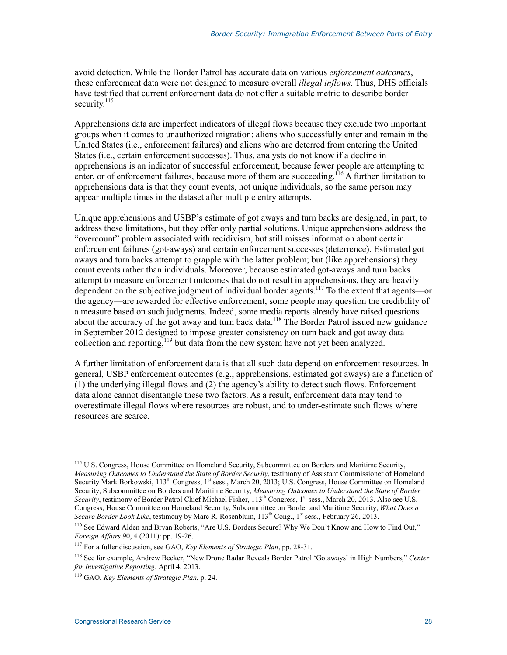avoid detection. While the Border Patrol has accurate data on various *enforcement outcomes*, these enforcement data were not designed to measure overall *illegal inflows*. Thus, DHS officials have testified that current enforcement data do not offer a suitable metric to describe border security. $^{115}$ 

Apprehensions data are imperfect indicators of illegal flows because they exclude two important groups when it comes to unauthorized migration: aliens who successfully enter and remain in the United States (i.e., enforcement failures) and aliens who are deterred from entering the United States (i.e., certain enforcement successes). Thus, analysts do not know if a decline in apprehensions is an indicator of successful enforcement, because fewer people are attempting to enter, or of enforcement failures, because more of them are succeeding.<sup>116</sup> A further limitation to apprehensions data is that they count events, not unique individuals, so the same person may appear multiple times in the dataset after multiple entry attempts.

Unique apprehensions and USBP's estimate of got aways and turn backs are designed, in part, to address these limitations, but they offer only partial solutions. Unique apprehensions address the "overcount" problem associated with recidivism, but still misses information about certain enforcement failures (got-aways) and certain enforcement successes (deterrence). Estimated got aways and turn backs attempt to grapple with the latter problem; but (like apprehensions) they count events rather than individuals. Moreover, because estimated got-aways and turn backs attempt to measure enforcement outcomes that do not result in apprehensions, they are heavily dependent on the subjective judgment of individual border agents.<sup>117</sup> To the extent that agents—or the agency—are rewarded for effective enforcement, some people may question the credibility of a measure based on such judgments. Indeed, some media reports already have raised questions about the accuracy of the got away and turn back data.<sup>118</sup> The Border Patrol issued new guidance in September 2012 designed to impose greater consistency on turn back and got away data collection and reporting,<sup>119</sup> but data from the new system have not yet been analyzed.

A further limitation of enforcement data is that all such data depend on enforcement resources. In general, USBP enforcement outcomes (e.g., apprehensions, estimated got aways) are a function of (1) the underlying illegal flows and (2) the agency's ability to detect such flows. Enforcement data alone cannot disentangle these two factors. As a result, enforcement data may tend to overestimate illegal flows where resources are robust, and to under-estimate such flows where resources are scarce.

<u>.</u>

<sup>&</sup>lt;sup>115</sup> U.S. Congress, House Committee on Homeland Security, Subcommittee on Borders and Maritime Security, *Measuring Outcomes to Understand the State of Border Security*, testimony of Assistant Commissioner of Homeland Security Mark Borkowski, 113<sup>th</sup> Congress, 1<sup>st</sup> sess., March 20, 2013; U.S. Congress, House Committee on Homeland Security, Subcommittee on Borders and Maritime Security, *Measuring Outcomes to Understand the State of Border Security*, testimony of Border Patrol Chief Michael Fisher, 113<sup>th</sup> Congress, 1<sup>st</sup> sess., March 20, 2013. Also see U.S. Congress, House Committee on Homeland Security, Subcommittee on Border and Maritime Security, *What Does a Secure Border Look Like*, testimony by Marc R. Rosenblum, 113<sup>th</sup> Cong., 1<sup>st</sup> sess., February 26, 2013.

<sup>116</sup> See Edward Alden and Bryan Roberts, "Are U.S. Borders Secure? Why We Don't Know and How to Find Out," *Foreign Affairs* 90, 4 (2011): pp. 19-26.

<sup>117</sup> For a fuller discussion, see GAO, *Key Elements of Strategic Plan*, pp. 28-31.

<sup>118</sup> See for example, Andrew Becker, "New Drone Radar Reveals Border Patrol 'Gotaways' in High Numbers," *Center for Investigative Reporting*, April 4, 2013.

<sup>119</sup> GAO, *Key Elements of Strategic Plan*, p. 24.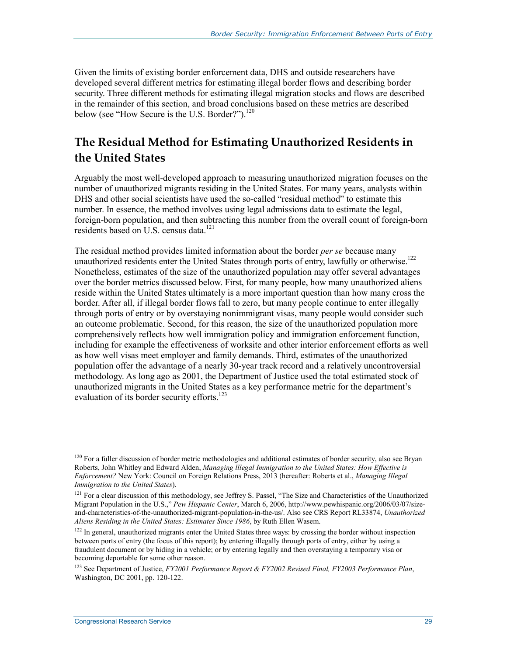Given the limits of existing border enforcement data, DHS and outside researchers have developed several different metrics for estimating illegal border flows and describing border security. Three different methods for estimating illegal migration stocks and flows are described in the remainder of this section, and broad conclusions based on these metrics are described below (see "How Secure is the U.S. Border?").<sup>120</sup>

### **The Residual Method for Estimating Unauthorized Residents in the United States**

Arguably the most well-developed approach to measuring unauthorized migration focuses on the number of unauthorized migrants residing in the United States. For many years, analysts within DHS and other social scientists have used the so-called "residual method" to estimate this number. In essence, the method involves using legal admissions data to estimate the legal, foreign-born population, and then subtracting this number from the overall count of foreign-born residents based on U.S. census data.<sup>121</sup>

The residual method provides limited information about the border *per se* because many unauthorized residents enter the United States through ports of entry, lawfully or otherwise.<sup>122</sup> Nonetheless, estimates of the size of the unauthorized population may offer several advantages over the border metrics discussed below. First, for many people, how many unauthorized aliens reside within the United States ultimately is a more important question than how many cross the border. After all, if illegal border flows fall to zero, but many people continue to enter illegally through ports of entry or by overstaying nonimmigrant visas, many people would consider such an outcome problematic. Second, for this reason, the size of the unauthorized population more comprehensively reflects how well immigration policy and immigration enforcement function, including for example the effectiveness of worksite and other interior enforcement efforts as well as how well visas meet employer and family demands. Third, estimates of the unauthorized population offer the advantage of a nearly 30-year track record and a relatively uncontroversial methodology. As long ago as 2001, the Department of Justice used the total estimated stock of unauthorized migrants in the United States as a key performance metric for the department's evaluation of its border security efforts.<sup>123</sup>

<u>.</u>

<sup>&</sup>lt;sup>120</sup> For a fuller discussion of border metric methodologies and additional estimates of border security, also see Bryan Roberts, John Whitley and Edward Alden, *Managing lllegal Immigration to the United States: How Effective is Enforcement?* New York: Council on Foreign Relations Press, 2013 (hereafter: Roberts et al., *Managing Illegal Immigration to the United States*).

<sup>&</sup>lt;sup>121</sup> For a clear discussion of this methodology, see Jeffrey S. Passel, "The Size and Characteristics of the Unauthorized Migrant Population in the U.S.," *Pew Hispanic Center*, March 6, 2006, http://www.pewhispanic.org/2006/03/07/sizeand-characteristics-of-the-unauthorized-migrant-population-in-the-us/. Also see CRS Report RL33874, *Unauthorized Aliens Residing in the United States: Estimates Since 1986*, by Ruth Ellen Wasem.

<sup>&</sup>lt;sup>122</sup> In general, unauthorized migrants enter the United States three ways: by crossing the border without inspection between ports of entry (the focus of this report); by entering illegally through ports of entry, either by using a fraudulent document or by hiding in a vehicle; or by entering legally and then overstaying a temporary visa or becoming deportable for some other reason.

<sup>123</sup> See Department of Justice, *FY2001 Performance Report & FY2002 Revised Final, FY2003 Performance Plan*, Washington, DC 2001, pp. 120-122.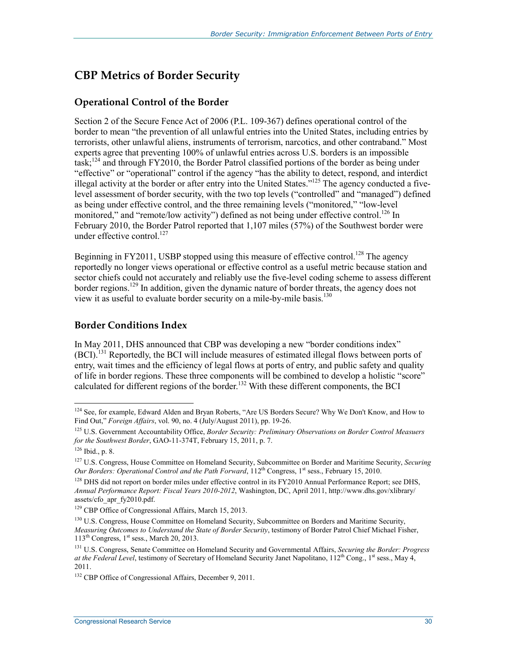#### **CBP Metrics of Border Security**

#### **Operational Control of the Border**

Section 2 of the Secure Fence Act of 2006 (P.L. 109-367) defines operational control of the border to mean "the prevention of all unlawful entries into the United States, including entries by terrorists, other unlawful aliens, instruments of terrorism, narcotics, and other contraband." Most experts agree that preventing 100% of unlawful entries across U.S. borders is an impossible task;<sup>124</sup> and through FY2010, the Border Patrol classified portions of the border as being under "effective" or "operational" control if the agency "has the ability to detect, respond, and interdict illegal activity at the border or after entry into the United States."125 The agency conducted a fivelevel assessment of border security, with the two top levels ("controlled" and "managed") defined as being under effective control, and the three remaining levels ("monitored," "low-level monitored," and "remote/low activity") defined as not being under effective control.<sup>126</sup> In February 2010, the Border Patrol reported that 1,107 miles (57%) of the Southwest border were under effective control.<sup>127</sup>

Beginning in FY2011, USBP stopped using this measure of effective control.<sup>128</sup> The agency reportedly no longer views operational or effective control as a useful metric because station and sector chiefs could not accurately and reliably use the five-level coding scheme to assess different border regions.<sup>129</sup> In addition, given the dynamic nature of border threats, the agency does not view it as useful to evaluate border security on a mile-by-mile basis.<sup>130</sup>

#### **Border Conditions Index**

In May 2011, DHS announced that CBP was developing a new "border conditions index" (BCI).131 Reportedly, the BCI will include measures of estimated illegal flows between ports of entry, wait times and the efficiency of legal flows at ports of entry, and public safety and quality of life in border regions. These three components will be combined to develop a holistic "score" calculated for different regions of the border.<sup>132</sup> With these different components, the BCI

<sup>&</sup>lt;sup>124</sup> See, for example, Edward Alden and Bryan Roberts, "Are US Borders Secure? Why We Don't Know, and How to Find Out," *Foreign Affairs*, vol. 90, no. 4 (July/August 2011), pp. 19-26.

<sup>125</sup> U.S. Government Accountability Office, *Border Security: Preliminary Observations on Border Control Measuers for the Southwest Border*, GAO-11-374T, February 15, 2011, p. 7.

 $126$  Ibid., p. 8.

<sup>127</sup> U.S. Congress, House Committee on Homeland Security, Subcommittee on Border and Maritime Security, *Securing Our Borders: Operational Control and the Path Forward*,  $112^{th}$  Congress, 1<sup>st</sup> sess., February 15, 2010.

<sup>&</sup>lt;sup>128</sup> DHS did not report on border miles under effective control in its FY2010 Annual Performance Report; see DHS, *Annual Performance Report: Fiscal Years 2010-2012*, Washington, DC, April 2011, http://www.dhs.gov/xlibrary/ assets/cfo\_apr\_fy2010.pdf.

<sup>&</sup>lt;sup>129</sup> CBP Office of Congressional Affairs, March 15, 2013.

<sup>&</sup>lt;sup>130</sup> U.S. Congress, House Committee on Homeland Security, Subcommittee on Borders and Maritime Security, *Measuring Outcomes to Understand the State of Border Security*, testimony of Border Patrol Chief Michael Fisher,  $113<sup>th</sup> Congress, 1<sup>st</sup> sess., March 20, 2013.$ 

<sup>131</sup> U.S. Congress, Senate Committee on Homeland Security and Governmental Affairs, *Securing the Border: Progress at the Federal Level*, testimony of Secretary of Homeland Security Janet Napolitano, 112<sup>th</sup> Cong., 1<sup>st</sup> sess., May 4, 2011.

<sup>&</sup>lt;sup>132</sup> CBP Office of Congressional Affairs, December 9, 2011.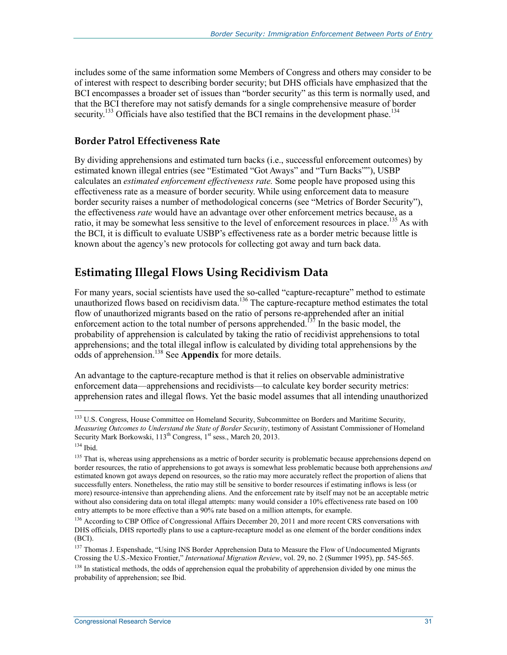includes some of the same information some Members of Congress and others may consider to be of interest with respect to describing border security; but DHS officials have emphasized that the BCI encompasses a broader set of issues than "border security" as this term is normally used, and that the BCI therefore may not satisfy demands for a single comprehensive measure of border security.<sup>133</sup> Officials have also testified that the BCI remains in the development phase.<sup>134</sup>

#### **Border Patrol Effectiveness Rate**

By dividing apprehensions and estimated turn backs (i.e., successful enforcement outcomes) by estimated known illegal entries (see "Estimated "Got Aways" and "Turn Backs""), USBP calculates an *estimated enforcement effectiveness rate.* Some people have proposed using this effectiveness rate as a measure of border security. While using enforcement data to measure border security raises a number of methodological concerns (see "Metrics of Border Security"), the effectiveness *rate* would have an advantage over other enforcement metrics because, as a ratio, it may be somewhat less sensitive to the level of enforcement resources in place.<sup>135</sup> As with the BCI, it is difficult to evaluate USBP's effectiveness rate as a border metric because little is known about the agency's new protocols for collecting got away and turn back data.

### **Estimating Illegal Flows Using Recidivism Data**

For many years, social scientists have used the so-called "capture-recapture" method to estimate unauthorized flows based on recidivism data.<sup>136</sup> The capture-recapture method estimates the total flow of unauthorized migrants based on the ratio of persons re-apprehended after an initial enforcement action to the total number of persons apprehended.<sup> $137$ </sup> In the basic model, the probability of apprehension is calculated by taking the ratio of recidivist apprehensions to total apprehensions; and the total illegal inflow is calculated by dividing total apprehensions by the odds of apprehension.138 See **Appendix** for more details.

An advantage to the capture-recapture method is that it relies on observable administrative enforcement data—apprehensions and recidivists—to calculate key border security metrics: apprehension rates and illegal flows. Yet the basic model assumes that all intending unauthorized

<sup>&</sup>lt;sup>133</sup> U.S. Congress, House Committee on Homeland Security, Subcommittee on Borders and Maritime Security, *Measuring Outcomes to Understand the State of Border Security*, testimony of Assistant Commissioner of Homeland Security Mark Borkowski, 113<sup>th</sup> Congress, 1<sup>st</sup> sess., March 20, 2013.

<sup>134</sup> Ibid.

<sup>&</sup>lt;sup>135</sup> That is, whereas using apprehensions as a metric of border security is problematic because apprehensions depend on border resources, the ratio of apprehensions to got aways is somewhat less problematic because both apprehensions *and* estimated known got aways depend on resources, so the ratio may more accurately reflect the proportion of aliens that successfully enters. Nonetheless, the ratio may still be sensitive to border resources if estimating inflows is less (or more) resource-intensive than apprehending aliens. And the enforcement rate by itself may not be an acceptable metric without also considering data on total illegal attempts: many would consider a 10% effectiveness rate based on 100 entry attempts to be more effective than a 90% rate based on a million attempts, for example.

<sup>&</sup>lt;sup>136</sup> According to CBP Office of Congressional Affairs December 20, 2011 and more recent CRS conversations with DHS officials, DHS reportedly plans to use a capture-recapture model as one element of the border conditions index (BCI).

<sup>&</sup>lt;sup>137</sup> Thomas J. Espenshade, "Using INS Border Apprehension Data to Measure the Flow of Undocumented Migrants Crossing the U.S.-Mexico Frontier," *International Migration Review*, vol. 29, no. 2 (Summer 1995), pp. 545-565. <sup>138</sup> In statistical methods, the odds of apprehension equal the probability of apprehension divided by one minus the

probability of apprehension; see Ibid.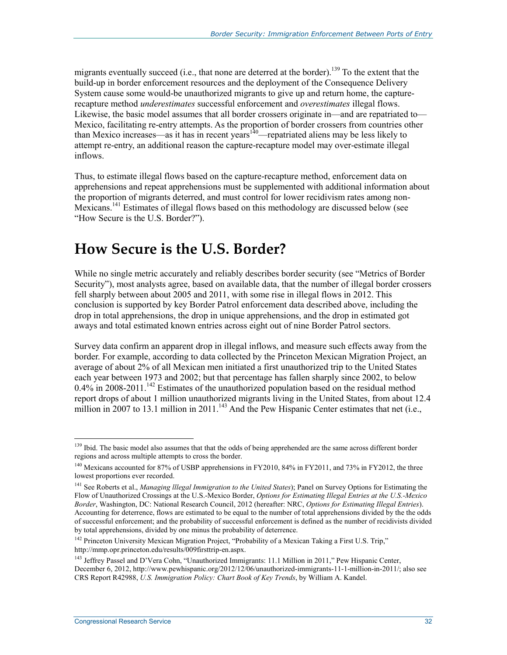migrants eventually succeed (i.e., that none are deterred at the border).<sup>139</sup> To the extent that the build-up in border enforcement resources and the deployment of the Consequence Delivery System cause some would-be unauthorized migrants to give up and return home, the capturerecapture method *underestimates* successful enforcement and *overestimates* illegal flows. Likewise, the basic model assumes that all border crossers originate in—and are repatriated to— Mexico, facilitating re-entry attempts. As the proportion of border crossers from countries other than Mexico increases—as it has in recent years<sup>140</sup>—repatriated aliens may be less likely to attempt re-entry, an additional reason the capture-recapture model may over-estimate illegal inflows.

Thus, to estimate illegal flows based on the capture-recapture method, enforcement data on apprehensions and repeat apprehensions must be supplemented with additional information about the proportion of migrants deterred, and must control for lower recidivism rates among non-Mexicans.141 Estimates of illegal flows based on this methodology are discussed below (see "How Secure is the U.S. Border?").

## **How Secure is the U.S. Border?**

While no single metric accurately and reliably describes border security (see "Metrics of Border Security"), most analysts agree, based on available data, that the number of illegal border crossers fell sharply between about 2005 and 2011, with some rise in illegal flows in 2012. This conclusion is supported by key Border Patrol enforcement data described above, including the drop in total apprehensions, the drop in unique apprehensions, and the drop in estimated got aways and total estimated known entries across eight out of nine Border Patrol sectors.

Survey data confirm an apparent drop in illegal inflows, and measure such effects away from the border. For example, according to data collected by the Princeton Mexican Migration Project, an average of about 2% of all Mexican men initiated a first unauthorized trip to the United States each year between 1973 and 2002; but that percentage has fallen sharply since 2002, to below  $0.4\%$  in 2008-2011.<sup>142</sup> Estimates of the unauthorized population based on the residual method report drops of about 1 million unauthorized migrants living in the United States, from about 12.4 million in 2007 to 13.1 million in 2011.<sup>143</sup> And the Pew Hispanic Center estimates that net (i.e.,

<sup>1</sup> <sup>139</sup> Ibid. The basic model also assumes that that the odds of being apprehended are the same across different border regions and across multiple attempts to cross the border.

<sup>&</sup>lt;sup>140</sup> Mexicans accounted for 87% of USBP apprehensions in FY2010, 84% in FY2011, and 73% in FY2012, the three lowest proportions ever recorded.

<sup>141</sup> See Roberts et al., *Managing lllegal Immigration to the United States*); Panel on Survey Options for Estimating the Flow of Unauthorized Crossings at the U.S.-Mexico Border, *Options for Estimating Illegal Entries at the U.S.-Mexico Border*, Washington, DC: National Research Council, 2012 (hereafter: NRC, *Options for Estimating Illegal Entries*). Accounting for deterrence, flows are estimated to be equal to the number of total apprehensions divided by the the odds of successful enforcement; and the probability of successful enforcement is defined as the number of recidivists divided by total apprehensions, divided by one minus the probability of deterrence.

<sup>&</sup>lt;sup>142</sup> Princeton University Mexican Migration Project, "Probability of a Mexican Taking a First U.S. Trip," http://mmp.opr.princeton.edu/results/009firsttrip-en.aspx.

<sup>&</sup>lt;sup>143</sup> Jeffrey Passel and D'Vera Cohn, "Unauthorized Immigrants: 11.1 Million in 2011," Pew Hispanic Center, December 6, 2012, http://www.pewhispanic.org/2012/12/06/unauthorized-immigrants-11-1-million-in-2011/; also see CRS Report R42988, *U.S. Immigration Policy: Chart Book of Key Trends*, by William A. Kandel.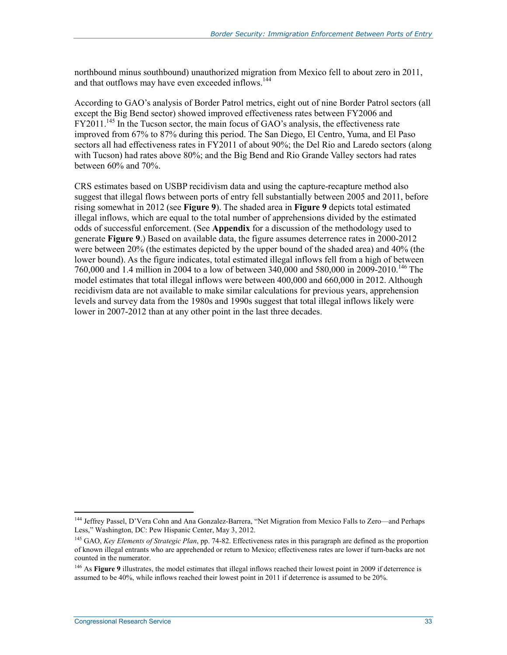northbound minus southbound) unauthorized migration from Mexico fell to about zero in 2011, and that outflows may have even exceeded inflows.<sup>144</sup>

According to GAO's analysis of Border Patrol metrics, eight out of nine Border Patrol sectors (all except the Big Bend sector) showed improved effectiveness rates between FY2006 and  $FY2011<sup>145</sup>$  In the Tucson sector, the main focus of GAO's analysis, the effectiveness rate improved from 67% to 87% during this period. The San Diego, El Centro, Yuma, and El Paso sectors all had effectiveness rates in FY2011 of about 90%; the Del Rio and Laredo sectors (along with Tucson) had rates above 80%; and the Big Bend and Rio Grande Valley sectors had rates between 60% and 70%.

CRS estimates based on USBP recidivism data and using the capture-recapture method also suggest that illegal flows between ports of entry fell substantially between 2005 and 2011, before rising somewhat in 2012 (see **Figure 9**). The shaded area in **Figure 9** depicts total estimated illegal inflows, which are equal to the total number of apprehensions divided by the estimated odds of successful enforcement. (See **Appendix** for a discussion of the methodology used to generate **Figure 9**.) Based on available data, the figure assumes deterrence rates in 2000-2012 were between 20% (the estimates depicted by the upper bound of the shaded area) and 40% (the lower bound). As the figure indicates, total estimated illegal inflows fell from a high of between 760,000 and 1.4 million in 2004 to a low of between 340,000 and 580,000 in 2009-2010.146 The model estimates that total illegal inflows were between 400,000 and 660,000 in 2012. Although recidivism data are not available to make similar calculations for previous years, apprehension levels and survey data from the 1980s and 1990s suggest that total illegal inflows likely were lower in 2007-2012 than at any other point in the last three decades.

<sup>1</sup> 144 Jeffrey Passel, D'Vera Cohn and Ana Gonzalez-Barrera, "Net Migration from Mexico Falls to Zero—and Perhaps Less," Washington, DC: Pew Hispanic Center, May 3, 2012.

<sup>145</sup> GAO, *Key Elements of Strategic Plan*, pp. 74-82. Effectiveness rates in this paragraph are defined as the proportion of known illegal entrants who are apprehended or return to Mexico; effectiveness rates are lower if turn-backs are not counted in the numerator.

<sup>&</sup>lt;sup>146</sup> As **Figure 9** illustrates, the model estimates that illegal inflows reached their lowest point in 2009 if deterrence is assumed to be 40%, while inflows reached their lowest point in 2011 if deterrence is assumed to be 20%.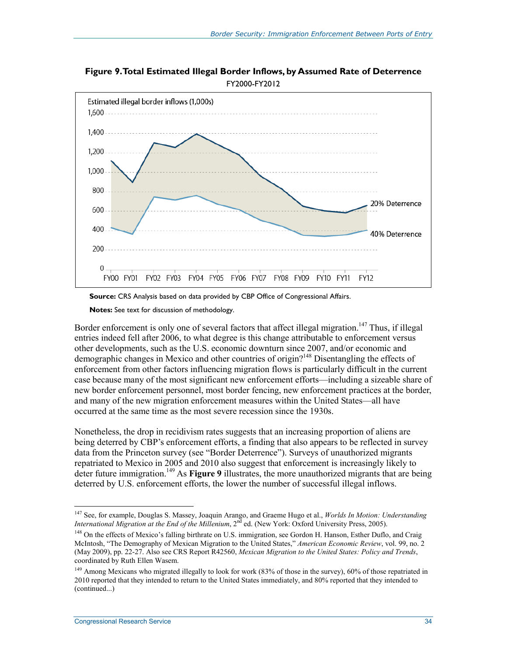**Figure 9. Total Estimated Illegal Border Inflows, by Assumed Rate of Deterrence**  FY2000-FY2012





**Notes:** See text for discussion of methodology.

Border enforcement is only one of several factors that affect illegal migration.<sup>147</sup> Thus, if illegal entries indeed fell after 2006, to what degree is this change attributable to enforcement versus other developments, such as the U.S. economic downturn since 2007, and/or economic and demographic changes in Mexico and other countries of origin?<sup>148</sup> Disentangling the effects of enforcement from other factors influencing migration flows is particularly difficult in the current case because many of the most significant new enforcement efforts—including a sizeable share of new border enforcement personnel, most border fencing, new enforcement practices at the border, and many of the new migration enforcement measures within the United States—all have occurred at the same time as the most severe recession since the 1930s.

Nonetheless, the drop in recidivism rates suggests that an increasing proportion of aliens are being deterred by CBP's enforcement efforts, a finding that also appears to be reflected in survey data from the Princeton survey (see "Border Deterrence"). Surveys of unauthorized migrants repatriated to Mexico in 2005 and 2010 also suggest that enforcement is increasingly likely to deter future immigration.149 As **Figure 9** illustrates, the more unauthorized migrants that are being deterred by U.S. enforcement efforts, the lower the number of successful illegal inflows.

<sup>147</sup> See, for example, Douglas S. Massey, Joaquin Arango, and Graeme Hugo et al., *Worlds In Motion: Understanding International Migration at the End of the Millenium*, 2<sup>nd</sup> ed. (New York: Oxford University Press, 2005).

<sup>&</sup>lt;sup>148</sup> On the effects of Mexico's falling birthrate on U.S. immigration, see Gordon H. Hanson, Esther Duflo, and Craig McIntosh, "The Demography of Mexican Migration to the United States," *American Economic Review*, vol. 99, no. 2 (May 2009), pp. 22-27. Also see CRS Report R42560, *Mexican Migration to the United States: Policy and Trends*, coordinated by Ruth Ellen Wasem.

 $149$  Among Mexicans who migrated illegally to look for work (83% of those in the survey), 60% of those repatriated in 2010 reported that they intended to return to the United States immediately, and 80% reported that they intended to (continued...)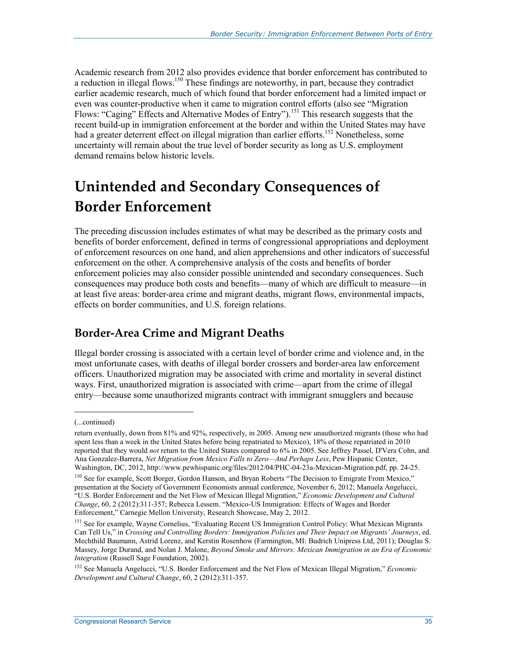Academic research from 2012 also provides evidence that border enforcement has contributed to a reduction in illegal flows.<sup>150</sup> These findings are noteworthy, in part, because they contradict earlier academic research, much of which found that border enforcement had a limited impact or even was counter-productive when it came to migration control efforts (also see "Migration Flows: "Caging" Effects and Alternative Modes of Entry").<sup>151</sup> This research suggests that the recent build-up in immigration enforcement at the border and within the United States may have had a greater deterrent effect on illegal migration than earlier efforts.<sup>152</sup> Nonetheless, some uncertainty will remain about the true level of border security as long as U.S. employment demand remains below historic levels.

## **Unintended and Secondary Consequences of Border Enforcement**

The preceding discussion includes estimates of what may be described as the primary costs and benefits of border enforcement, defined in terms of congressional appropriations and deployment of enforcement resources on one hand, and alien apprehensions and other indicators of successful enforcement on the other. A comprehensive analysis of the costs and benefits of border enforcement policies may also consider possible unintended and secondary consequences. Such consequences may produce both costs and benefits—many of which are difficult to measure—in at least five areas: border-area crime and migrant deaths, migrant flows, environmental impacts, effects on border communities, and U.S. foreign relations.

### **Border-Area Crime and Migrant Deaths**

Illegal border crossing is associated with a certain level of border crime and violence and, in the most unfortunate cases, with deaths of illegal border crossers and border-area law enforcement officers. Unauthorized migration may be associated with crime and mortality in several distinct ways. First, unauthorized migration is associated with crime—apart from the crime of illegal entry—because some unauthorized migrants contract with immigrant smugglers and because

<sup>(...</sup>continued)

return eventually, down from 81% and 92%, respectively, in 2005. Among new unauthorized migrants (those who had spent less than a week in the United States before being repatriated to Mexico), 18% of those repatriated in 2010 reported that they would *not* return to the United States compared to 6% in 2005. See Jeffrey Passel, D'Vera Cohn, and Ana Gonzalez-Barrera, *Net Migration from Mexico Falls to Zero—And Perhaps Less*, Pew Hispanic Center, Washington, DC, 2012, http://www.pewhispanic.org/files/2012/04/PHC-04-23a-Mexican-Migration.pdf, pp. 24-25.

<sup>&</sup>lt;sup>150</sup> See for example, Scott Borger, Gordon Hanson, and Bryan Roberts "The Decision to Emigrate From Mexico," presentation at the Society of Government Economists annual conference, November 6, 2012; Manuela Angelucci, "U.S. Border Enforcement and the Net Flow of Mexican Illegal Migration," *Economic Development and Cultural Change*, 60, 2 (2012):311-357; Rebecca Lessem. "Mexico-US Immigration: Effects of Wages and Border Enforcement," Carnegie Mellon University, Research Showcase, May 2, 2012.

<sup>&</sup>lt;sup>151</sup> See for example, Wayne Cornelius, "Evaluating Recent US Immigration Control Policy: What Mexican Migrants Can Tell Us," in *Crossing and Controlling Borders: Immigration Policies and Their Impact on Migrants' Journeys*, ed. Mechthild Baumann, Astrid Lorenz, and Kerstin Rosenhow (Farmington, MI: Budrich Unipress Ltd, 2011); Douglas S. Massey, Jorge Durand, and Nolan J. Malone, *Beyond Smoke and Mirrors: Mexican Immigration in an Era of Economic Integration* (Russell Sage Foundation, 2002).

<sup>152</sup> See Manuela Angelucci, "U.S. Border Enforcement and the Net Flow of Mexican Illegal Migration," *Economic Development and Cultural Change*, 60, 2 (2012):311-357.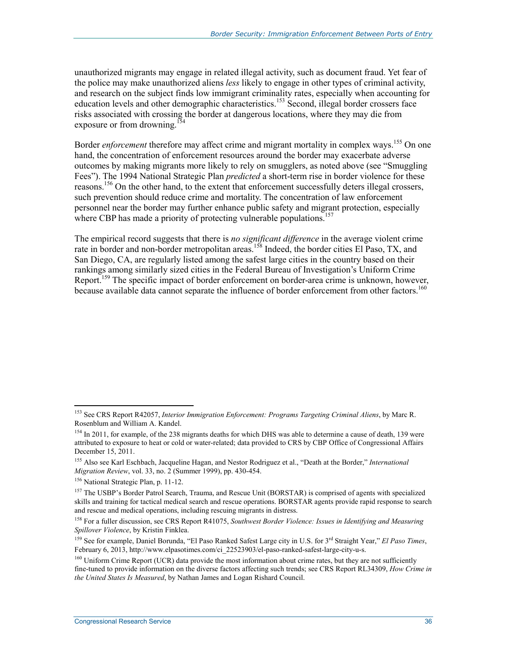unauthorized migrants may engage in related illegal activity, such as document fraud. Yet fear of the police may make unauthorized aliens *less* likely to engage in other types of criminal activity, and research on the subject finds low immigrant criminality rates, especially when accounting for education levels and other demographic characteristics.<sup>153</sup> Second, illegal border crossers face risks associated with crossing the border at dangerous locations, where they may die from exposure or from drowning.<sup>154</sup>

Border *enforcement* therefore may affect crime and migrant mortality in complex ways.<sup>155</sup> On one hand, the concentration of enforcement resources around the border may exacerbate adverse outcomes by making migrants more likely to rely on smugglers, as noted above (see "Smuggling Fees"). The 1994 National Strategic Plan *predicted* a short-term rise in border violence for these reasons.156 On the other hand, to the extent that enforcement successfully deters illegal crossers, such prevention should reduce crime and mortality. The concentration of law enforcement personnel near the border may further enhance public safety and migrant protection, especially where CBP has made a priority of protecting vulnerable populations.<sup>157</sup>

The empirical record suggests that there is *no significant difference* in the average violent crime rate in border and non-border metropolitan areas.<sup>158</sup> Indeed, the border cities El Paso, TX, and San Diego, CA, are regularly listed among the safest large cities in the country based on their rankings among similarly sized cities in the Federal Bureau of Investigation's Uniform Crime Report.<sup>159</sup> The specific impact of border enforcement on border-area crime is unknown, however, because available data cannot separate the influence of border enforcement from other factors.<sup>160</sup>

<sup>153</sup> See CRS Report R42057, *Interior Immigration Enforcement: Programs Targeting Criminal Aliens*, by Marc R. Rosenblum and William A. Kandel.

<sup>&</sup>lt;sup>154</sup> In 2011, for example, of the 238 migrants deaths for which DHS was able to determine a cause of death, 139 were attributed to exposure to heat or cold or water-related; data provided to CRS by CBP Office of Congressional Affairs December 15, 2011.

<sup>155</sup> Also see Karl Eschbach, Jacqueline Hagan, and Nestor Rodriguez et al., "Death at the Border," *International Migration Review*, vol. 33, no. 2 (Summer 1999), pp. 430-454.

<sup>156</sup> National Strategic Plan, p. 11-12.

<sup>&</sup>lt;sup>157</sup> The USBP's Border Patrol Search, Trauma, and Rescue Unit (BORSTAR) is comprised of agents with specialized skills and training for tactical medical search and rescue operations. BORSTAR agents provide rapid response to search and rescue and medical operations, including rescuing migrants in distress.

<sup>158</sup> For a fuller discussion, see CRS Report R41075, *Southwest Border Violence: Issues in Identifying and Measuring Spillover Violence*, by Kristin Finklea.

<sup>159</sup> See for example, Daniel Borunda, "El Paso Ranked Safest Large city in U.S. for 3rd Straight Year," *El Paso Times*, February 6, 2013, http://www.elpasotimes.com/ci\_22523903/el-paso-ranked-safest-large-city-u-s.

<sup>&</sup>lt;sup>160</sup> Uniform Crime Report (UCR) data provide the most information about crime rates, but they are not sufficiently fine-tuned to provide information on the diverse factors affecting such trends; see CRS Report RL34309, *How Crime in the United States Is Measured*, by Nathan James and Logan Rishard Council.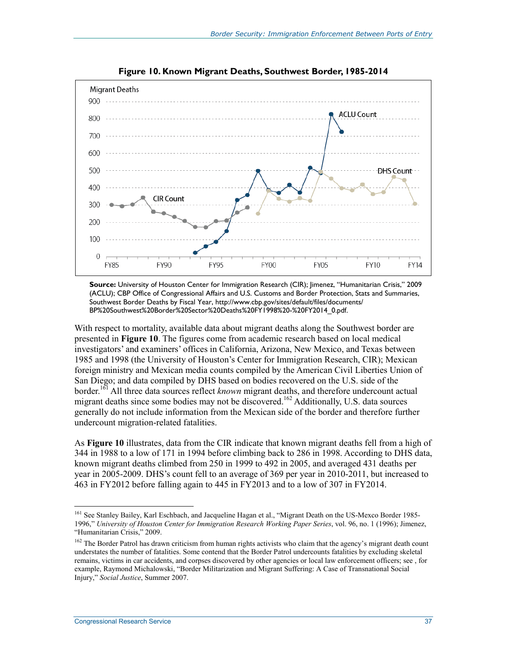

**Figure 10. Known Migrant Deaths, Southwest Border, 1985-2014** 

**Source:** University of Houston Center for Immigration Research (CIR); Jimenez, "Humanitarian Crisis," 2009 (ACLU); CBP Office of Congressional Affairs and U.S. Customs and Border Protection, Stats and Summaries, Southwest Border Deaths by Fiscal Year, http://www.cbp.gov/sites/default/files/documents/ BP%20Southwest%20Border%20Sector%20Deaths%20FY1998%20-%20FY2014\_0.pdf.

With respect to mortality, available data about migrant deaths along the Southwest border are presented in **Figure 10**. The figures come from academic research based on local medical investigators' and examiners' offices in California, Arizona, New Mexico, and Texas between 1985 and 1998 (the University of Houston's Center for Immigration Research, CIR); Mexican foreign ministry and Mexican media counts compiled by the American Civil Liberties Union of San Diego; and data compiled by DHS based on bodies recovered on the U.S. side of the border.161 All three data sources reflect *known* migrant deaths, and therefore undercount actual migrant deaths since some bodies may not be discovered.<sup>162</sup> Additionally, U.S. data sources generally do not include information from the Mexican side of the border and therefore further undercount migration-related fatalities.

As **Figure 10** illustrates, data from the CIR indicate that known migrant deaths fell from a high of 344 in 1988 to a low of 171 in 1994 before climbing back to 286 in 1998. According to DHS data, known migrant deaths climbed from 250 in 1999 to 492 in 2005, and averaged 431 deaths per year in 2005-2009. DHS's count fell to an average of 369 per year in 2010-2011, but increased to 463 in FY2012 before falling again to 445 in FY2013 and to a low of 307 in FY2014.

<sup>&</sup>lt;sup>161</sup> See Stanley Bailey, Karl Eschbach, and Jacqueline Hagan et al., "Migrant Death on the US-Mexco Border 1985-1996," *University of Houston Center for Immigration Research Working Paper Series*, vol. 96, no. 1 (1996); Jimenez, "Humanitarian Crisis," 2009.

<sup>&</sup>lt;sup>162</sup> The Border Patrol has drawn criticism from human rights activists who claim that the agency's migrant death count understates the number of fatalities. Some contend that the Border Patrol undercounts fatalities by excluding skeletal remains, victims in car accidents, and corpses discovered by other agencies or local law enforcement officers; see , for example, Raymond Michalowski, "Border Militarization and Migrant Suffering: A Case of Transnational Social Injury," *Social Justice*, Summer 2007.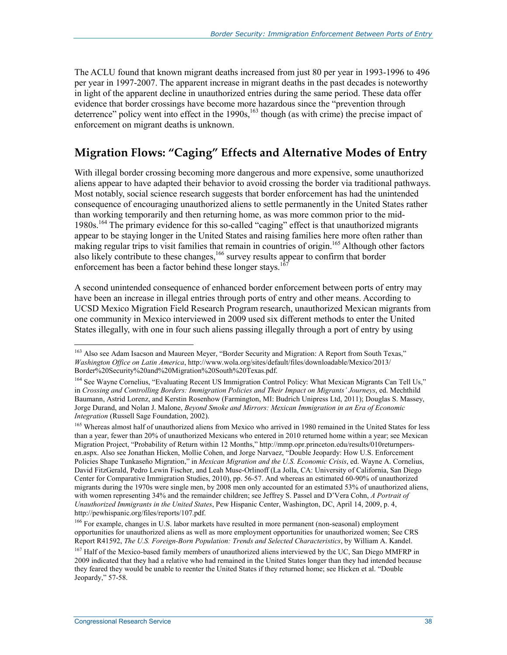The ACLU found that known migrant deaths increased from just 80 per year in 1993-1996 to 496 per year in 1997-2007. The apparent increase in migrant deaths in the past decades is noteworthy in light of the apparent decline in unauthorized entries during the same period. These data offer evidence that border crossings have become more hazardous since the "prevention through deterrence" policy went into effect in the  $1990s<sub>s</sub><sup>163</sup>$  though (as with crime) the precise impact of enforcement on migrant deaths is unknown.

### **Migration Flows: "Caging" Effects and Alternative Modes of Entry**

With illegal border crossing becoming more dangerous and more expensive, some unauthorized aliens appear to have adapted their behavior to avoid crossing the border via traditional pathways. Most notably, social science research suggests that border enforcement has had the unintended consequence of encouraging unauthorized aliens to settle permanently in the United States rather than working temporarily and then returning home, as was more common prior to the mid-1980s.164 The primary evidence for this so-called "caging" effect is that unauthorized migrants appear to be staying longer in the United States and raising families here more often rather than making regular trips to visit families that remain in countries of origin.<sup>165</sup> Although other factors also likely contribute to these changes,<sup>166</sup> survey results appear to confirm that border enforcement has been a factor behind these longer stays.<sup>1</sup>

A second unintended consequence of enhanced border enforcement between ports of entry may have been an increase in illegal entries through ports of entry and other means. According to UCSD Mexico Migration Field Research Program research, unauthorized Mexican migrants from one community in Mexico interviewed in 2009 used six different methods to enter the United States illegally, with one in four such aliens passing illegally through a port of entry by using

<sup>&</sup>lt;sup>163</sup> Also see Adam Isacson and Maureen Meyer, "Border Security and Migration: A Report from South Texas," *Washington Office on Latin America*, http://www.wola.org/sites/default/files/downloadable/Mexico/2013/ Border%20Security%20and%20Migration%20South%20Texas.pdf.

<sup>&</sup>lt;sup>164</sup> See Wayne Cornelius, "Evaluating Recent US Immigration Control Policy: What Mexican Migrants Can Tell Us," in *Crossing and Controlling Borders: Immigration Policies and Their Impact on Migrants' Journeys*, ed. Mechthild Baumann, Astrid Lorenz, and Kerstin Rosenhow (Farmington, MI: Budrich Unipress Ltd, 2011); Douglas S. Massey, Jorge Durand, and Nolan J. Malone, *Beyond Smoke and Mirrors: Mexican Immigration in an Era of Economic Integration* (Russell Sage Foundation, 2002).

<sup>&</sup>lt;sup>165</sup> Whereas almost half of unauthorized aliens from Mexico who arrived in 1980 remained in the United States for less than a year, fewer than 20% of unauthorized Mexicans who entered in 2010 returned home within a year; see Mexican Migration Project, "Probability of Return within 12 Months," http://mmp.opr.princeton.edu/results/010returnpersen.aspx. Also see Jonathan Hicken, Mollie Cohen, and Jorge Narvaez, "Double Jeopardy: How U.S. Enforcement Policies Shape Tunkaseño Migration," in *Mexican Migration and the U.S. Economic Crisis*, ed. Wayne A. Cornelius, David FitzGerald, Pedro Lewin Fischer, and Leah Muse-Orlinoff (La Jolla, CA: University of California, San Diego Center for Comparative Immigration Studies, 2010), pp. 56-57. And whereas an estimated 60-90% of unauthorized migrants during the 1970s were single men, by 2008 men only accounted for an estimated 53% of unauthorized aliens, with women representing 34% and the remainder children; see Jeffrey S. Passel and D'Vera Cohn, *A Portrait of Unauthorized Immigrants in the United States*, Pew Hispanic Center, Washington, DC, April 14, 2009, p. 4, http://pewhispanic.org/files/reports/107.pdf.

<sup>&</sup>lt;sup>166</sup> For example, changes in U.S. labor markets have resulted in more permanent (non-seasonal) employment opportunities for unauthorized aliens as well as more employment opportunities for unauthorized women; See CRS Report R41592, *The U.S. Foreign-Born Population: Trends and Selected Characteristics*, by William A. Kandel.

<sup>&</sup>lt;sup>167</sup> Half of the Mexico-based family members of unauthorized aliens interviewed by the UC, San Diego MMFRP in 2009 indicated that they had a relative who had remained in the United States longer than they had intended because they feared they would be unable to reenter the United States if they returned home; see Hicken et al. "Double Jeopardy," 57-58.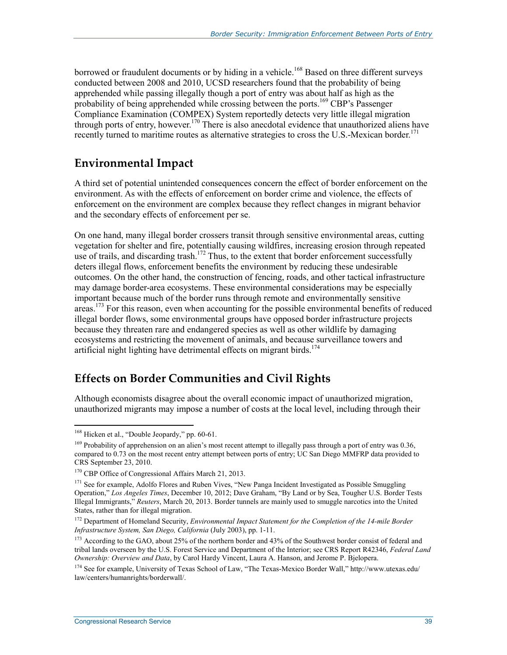borrowed or fraudulent documents or by hiding in a vehicle.<sup>168</sup> Based on three different surveys conducted between 2008 and 2010, UCSD researchers found that the probability of being apprehended while passing illegally though a port of entry was about half as high as the probability of being apprehended while crossing between the ports.<sup>169</sup> CBP's Passenger Compliance Examination (COMPEX) System reportedly detects very little illegal migration through ports of entry, however.<sup>170</sup> There is also anecdotal evidence that unauthorized aliens have recently turned to maritime routes as alternative strategies to cross the U.S.-Mexican border.<sup>171</sup>

#### **Environmental Impact**

A third set of potential unintended consequences concern the effect of border enforcement on the environment. As with the effects of enforcement on border crime and violence, the effects of enforcement on the environment are complex because they reflect changes in migrant behavior and the secondary effects of enforcement per se.

On one hand, many illegal border crossers transit through sensitive environmental areas, cutting vegetation for shelter and fire, potentially causing wildfires, increasing erosion through repeated use of trails, and discarding trash.<sup>172</sup> Thus, to the extent that border enforcement successfully deters illegal flows, enforcement benefits the environment by reducing these undesirable outcomes. On the other hand, the construction of fencing, roads, and other tactical infrastructure may damage border-area ecosystems. These environmental considerations may be especially important because much of the border runs through remote and environmentally sensitive areas.<sup>173</sup> For this reason, even when accounting for the possible environmental benefits of reduced illegal border flows, some environmental groups have opposed border infrastructure projects because they threaten rare and endangered species as well as other wildlife by damaging ecosystems and restricting the movement of animals, and because surveillance towers and artificial night lighting have detrimental effects on migrant birds.<sup>174</sup>

### **Effects on Border Communities and Civil Rights**

Although economists disagree about the overall economic impact of unauthorized migration, unauthorized migrants may impose a number of costs at the local level, including through their

<u>.</u>

<sup>&</sup>lt;sup>168</sup> Hicken et al., "Double Jeopardy," pp. 60-61.

<sup>&</sup>lt;sup>169</sup> Probability of apprehension on an alien's most recent attempt to illegally pass through a port of entry was 0.36, compared to 0.73 on the most recent entry attempt between ports of entry; UC San Diego MMFRP data provided to CRS September 23, 2010.

<sup>&</sup>lt;sup>170</sup> CBP Office of Congressional Affairs March 21, 2013.

 $171$  See for example, Adolfo Flores and Ruben Vives, "New Panga Incident Investigated as Possible Smuggling Operation," *Los Angeles Times*, December 10, 2012; Dave Graham, "By Land or by Sea, Tougher U.S. Border Tests Illegal Immigrants," *Reuters*, March 20, 2013. Border tunnels are mainly used to smuggle narcotics into the United States, rather than for illegal migration.

<sup>&</sup>lt;sup>172</sup> Department of Homeland Security, *Environmental Impact Statement for the Completion of the 14-mile Border Infrastructure System, San Diego, California* (July 2003), pp. 1-11.

<sup>&</sup>lt;sup>173</sup> According to the GAO, about 25% of the northern border and 43% of the Southwest border consist of federal and tribal lands overseen by the U.S. Forest Service and Department of the Interior; see CRS Report R42346, *Federal Land Ownership: Overview and Data*, by Carol Hardy Vincent, Laura A. Hanson, and Jerome P. Bjelopera.

<sup>&</sup>lt;sup>174</sup> See for example, University of Texas School of Law, "The Texas-Mexico Border Wall," http://www.utexas.edu/ law/centers/humanrights/borderwall/.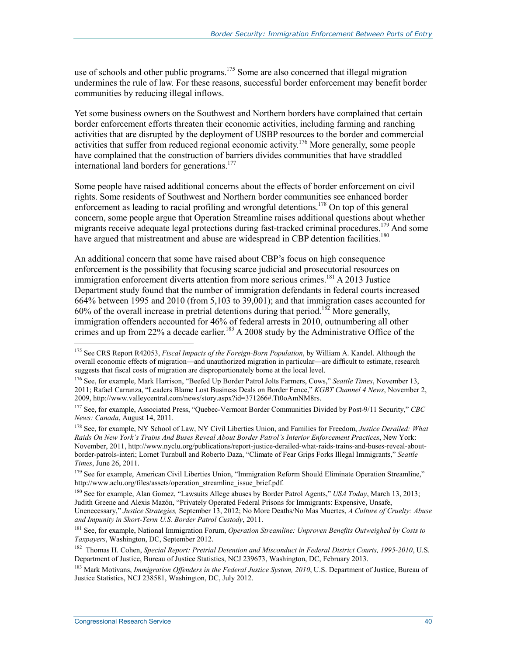use of schools and other public programs.<sup>175</sup> Some are also concerned that illegal migration undermines the rule of law. For these reasons, successful border enforcement may benefit border communities by reducing illegal inflows.

Yet some business owners on the Southwest and Northern borders have complained that certain border enforcement efforts threaten their economic activities, including farming and ranching activities that are disrupted by the deployment of USBP resources to the border and commercial activities that suffer from reduced regional economic activity.176 More generally, some people have complained that the construction of barriers divides communities that have straddled international land borders for generations.<sup>177</sup>

Some people have raised additional concerns about the effects of border enforcement on civil rights. Some residents of Southwest and Northern border communities see enhanced border enforcement as leading to racial profiling and wrongful detentions.<sup>178</sup> On top of this general concern, some people argue that Operation Streamline raises additional questions about whether migrants receive adequate legal protections during fast-tracked criminal procedures.<sup>179</sup> And some have argued that mistreatment and abuse are widespread in CBP detention facilities.<sup>180</sup>

An additional concern that some have raised about CBP's focus on high consequence enforcement is the possibility that focusing scarce judicial and prosecutorial resources on immigration enforcement diverts attention from more serious crimes.<sup>181</sup> A 2013 Justice Department study found that the number of immigration defendants in federal courts increased 664% between 1995 and 2010 (from 5,103 to 39,001); and that immigration cases accounted for 60% of the overall increase in pretrial detentions during that period.<sup>182</sup> More generally, immigration offenders accounted for 46% of federal arrests in 2010, outnumbering all other crimes and up from 22% a decade earlier.<sup>183</sup> A 2008 study by the Administrative Office of the

180 See for example, Alan Gomez, "Lawsuits Allege abuses by Border Patrol Agents," *USA Today*, March 13, 2013; Judith Greene and Alexis Mazón, "Privately Operated Federal Prisons for Immigrants: Expensive, Unsafe,

<sup>175</sup> See CRS Report R42053, *Fiscal Impacts of the Foreign-Born Population*, by William A. Kandel. Although the overall economic effects of migration—and unauthorized migration in particular—are difficult to estimate, research suggests that fiscal costs of migration are disproportionately borne at the local level.

<sup>176</sup> See, for example, Mark Harrison, "Beefed Up Border Patrol Jolts Farmers, Cows," *Seattle Times*, November 13, 2011; Rafael Carranza, "Leaders Blame Lost Business Deals on Border Fence," *KGBT Channel 4 News*, November 2, 2009, http://www.valleycentral.com/news/story.aspx?id=371266#.Tt0oAmNM8rs.

<sup>177</sup> See, for example, Associated Press, "Quebec-Vermont Border Communities Divided by Post-9/11 Security," *CBC News: Canada*, August 14, 2011.

<sup>178</sup> See, for example, NY School of Law, NY Civil Liberties Union, and Families for Freedom, *Justice Derailed: What Raids On New York's Trains And Buses Reveal About Border Patrol's Interior Enforcement Practices*, New York: November, 2011, http://www.nyclu.org/publications/report-justice-derailed-what-raids-trains-and-buses-reveal-aboutborder-patrols-interi; Lornet Turnbull and Roberto Daza, "Climate of Fear Grips Forks Illegal Immigrants," *Seattle Times*, June 26, 2011.

<sup>&</sup>lt;sup>179</sup> See for example, American Civil Liberties Union, "Immigration Reform Should Eliminate Operation Streamline," http://www.aclu.org/files/assets/operation\_streamline\_issue\_brief.pdf.

Unenecessary," *Justice Strategies,* September 13, 2012; No More Deaths/No Mas Muertes, *A Culture of Cruelty: Abuse and Impunity in Short-Term U.S. Border Patrol Custody*, 2011.

<sup>181</sup> See, for example, National Immigration Forum, *Operation Streamline: Unproven Benefits Outweighed by Costs to Taxpayers*, Washington, DC, September 2012.

<sup>182</sup> Thomas H. Cohen, *Special Report: Pretrial Detention and Misconduct in Federal District Courts, 1995-2010*, U.S. Department of Justice, Bureau of Justice Statistics, NCJ 239673, Washington, DC, February 2013.

<sup>183</sup> Mark Motivans, *Immigration Offenders in the Federal Justice System, 2010*, U.S. Department of Justice, Bureau of Justice Statistics, NCJ 238581, Washington, DC, July 2012.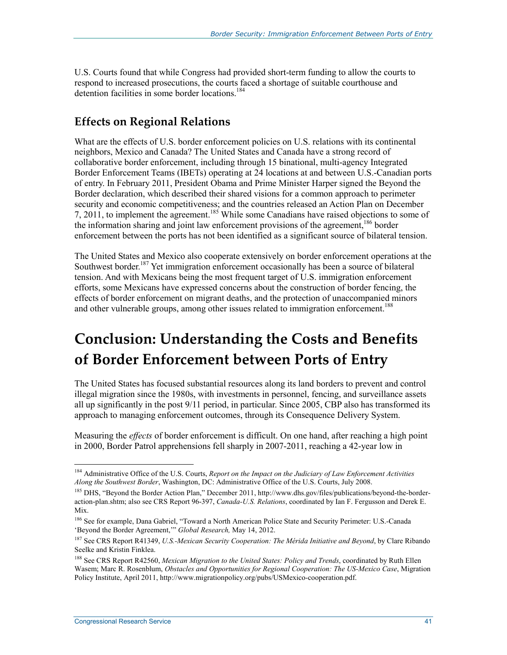U.S. Courts found that while Congress had provided short-term funding to allow the courts to respond to increased prosecutions, the courts faced a shortage of suitable courthouse and detention facilities in some border locations.<sup>184</sup>

### **Effects on Regional Relations**

What are the effects of U.S. border enforcement policies on U.S. relations with its continental neighbors, Mexico and Canada? The United States and Canada have a strong record of collaborative border enforcement, including through 15 binational, multi-agency Integrated Border Enforcement Teams (IBETs) operating at 24 locations at and between U.S.-Canadian ports of entry. In February 2011, President Obama and Prime Minister Harper signed the Beyond the Border declaration, which described their shared visions for a common approach to perimeter security and economic competitiveness; and the countries released an Action Plan on December 7, 2011, to implement the agreement.185 While some Canadians have raised objections to some of the information sharing and joint law enforcement provisions of the agreement,<sup>186</sup> border enforcement between the ports has not been identified as a significant source of bilateral tension.

The United States and Mexico also cooperate extensively on border enforcement operations at the Southwest border.<sup>187</sup> Yet immigration enforcement occasionally has been a source of bilateral tension. And with Mexicans being the most frequent target of U.S. immigration enforcement efforts, some Mexicans have expressed concerns about the construction of border fencing, the effects of border enforcement on migrant deaths, and the protection of unaccompanied minors and other vulnerable groups, among other issues related to immigration enforcement.<sup>188</sup>

## **Conclusion: Understanding the Costs and Benefits of Border Enforcement between Ports of Entry**

The United States has focused substantial resources along its land borders to prevent and control illegal migration since the 1980s, with investments in personnel, fencing, and surveillance assets all up significantly in the post 9/11 period, in particular. Since 2005, CBP also has transformed its approach to managing enforcement outcomes, through its Consequence Delivery System.

Measuring the *effects* of border enforcement is difficult. On one hand, after reaching a high point in 2000, Border Patrol apprehensions fell sharply in 2007-2011, reaching a 42-year low in

<sup>184</sup> Administrative Office of the U.S. Courts, *Report on the Impact on the Judiciary of Law Enforcement Activities Along the Southwest Border*, Washington, DC: Administrative Office of the U.S. Courts, July 2008.

<sup>185</sup> DHS, "Beyond the Border Action Plan," December 2011, http://www.dhs.gov/files/publications/beyond-the-borderaction-plan.shtm; also see CRS Report 96-397, *Canada-U.S. Relations*, coordinated by Ian F. Fergusson and Derek E. Mix.

<sup>&</sup>lt;sup>186</sup> See for example, Dana Gabriel, "Toward a North American Police State and Security Perimeter: U.S.-Canada 'Beyond the Border Agreement,'" *Global Research,* May 14, 2012.

<sup>187</sup> See CRS Report R41349, *U.S.-Mexican Security Cooperation: The Mérida Initiative and Beyond*, by Clare Ribando Seelke and Kristin Finklea.

<sup>188</sup> See CRS Report R42560, *Mexican Migration to the United States: Policy and Trends*, coordinated by Ruth Ellen Wasem; Marc R. Rosenblum, *Obstacles and Opportunities for Regional Cooperation: The US-Mexico Case*, Migration Policy Institute, April 2011, http://www.migrationpolicy.org/pubs/USMexico-cooperation.pdf.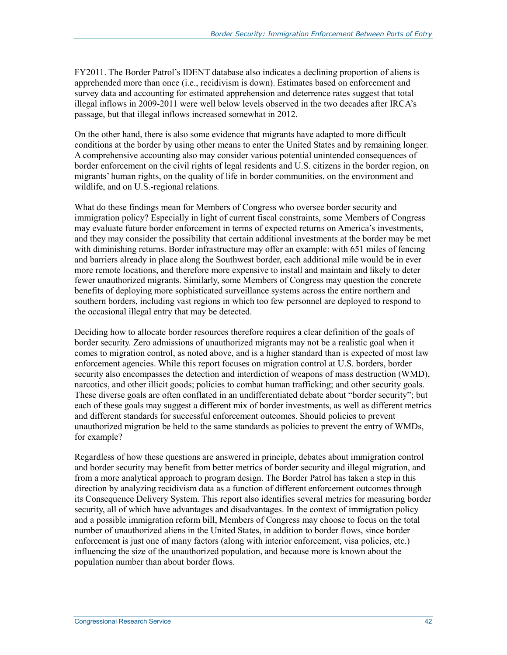FY2011. The Border Patrol's IDENT database also indicates a declining proportion of aliens is apprehended more than once (i.e., recidivism is down). Estimates based on enforcement and survey data and accounting for estimated apprehension and deterrence rates suggest that total illegal inflows in 2009-2011 were well below levels observed in the two decades after IRCA's passage, but that illegal inflows increased somewhat in 2012.

On the other hand, there is also some evidence that migrants have adapted to more difficult conditions at the border by using other means to enter the United States and by remaining longer. A comprehensive accounting also may consider various potential unintended consequences of border enforcement on the civil rights of legal residents and U.S. citizens in the border region, on migrants' human rights, on the quality of life in border communities, on the environment and wildlife, and on U.S.-regional relations.

What do these findings mean for Members of Congress who oversee border security and immigration policy? Especially in light of current fiscal constraints, some Members of Congress may evaluate future border enforcement in terms of expected returns on America's investments, and they may consider the possibility that certain additional investments at the border may be met with diminishing returns. Border infrastructure may offer an example: with 651 miles of fencing and barriers already in place along the Southwest border, each additional mile would be in ever more remote locations, and therefore more expensive to install and maintain and likely to deter fewer unauthorized migrants. Similarly, some Members of Congress may question the concrete benefits of deploying more sophisticated surveillance systems across the entire northern and southern borders, including vast regions in which too few personnel are deployed to respond to the occasional illegal entry that may be detected.

Deciding how to allocate border resources therefore requires a clear definition of the goals of border security. Zero admissions of unauthorized migrants may not be a realistic goal when it comes to migration control, as noted above, and is a higher standard than is expected of most law enforcement agencies. While this report focuses on migration control at U.S. borders, border security also encompasses the detection and interdiction of weapons of mass destruction (WMD), narcotics, and other illicit goods; policies to combat human trafficking; and other security goals. These diverse goals are often conflated in an undifferentiated debate about "border security"; but each of these goals may suggest a different mix of border investments, as well as different metrics and different standards for successful enforcement outcomes. Should policies to prevent unauthorized migration be held to the same standards as policies to prevent the entry of WMDs, for example?

Regardless of how these questions are answered in principle, debates about immigration control and border security may benefit from better metrics of border security and illegal migration, and from a more analytical approach to program design. The Border Patrol has taken a step in this direction by analyzing recidivism data as a function of different enforcement outcomes through its Consequence Delivery System. This report also identifies several metrics for measuring border security, all of which have advantages and disadvantages. In the context of immigration policy and a possible immigration reform bill, Members of Congress may choose to focus on the total number of unauthorized aliens in the United States, in addition to border flows, since border enforcement is just one of many factors (along with interior enforcement, visa policies, etc.) influencing the size of the unauthorized population, and because more is known about the population number than about border flows.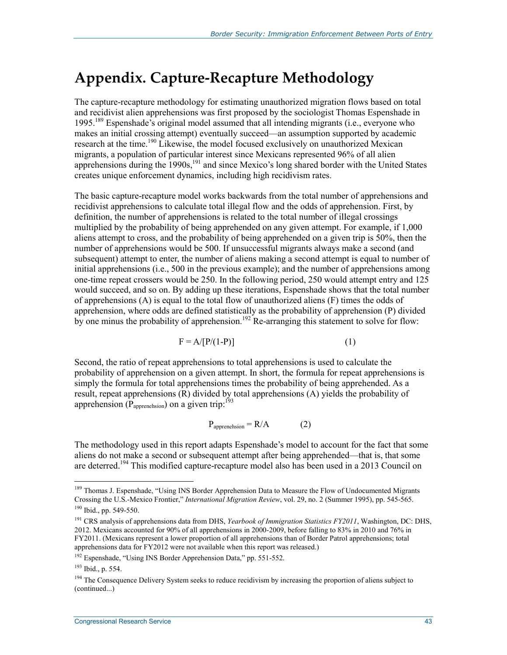## **Appendix. Capture-Recapture Methodology**

The capture-recapture methodology for estimating unauthorized migration flows based on total and recidivist alien apprehensions was first proposed by the sociologist Thomas Espenshade in 1995.<sup>189</sup> Espenshade's original model assumed that all intending migrants (i.e., everyone who makes an initial crossing attempt) eventually succeed—an assumption supported by academic research at the time.<sup>190</sup> Likewise, the model focused exclusively on unauthorized Mexican migrants, a population of particular interest since Mexicans represented 96% of all alien apprehensions during the 1990s,<sup>191</sup> and since Mexico's long shared border with the United States creates unique enforcement dynamics, including high recidivism rates.

The basic capture-recapture model works backwards from the total number of apprehensions and recidivist apprehensions to calculate total illegal flow and the odds of apprehension. First, by definition, the number of apprehensions is related to the total number of illegal crossings multiplied by the probability of being apprehended on any given attempt. For example, if 1,000 aliens attempt to cross, and the probability of being apprehended on a given trip is 50%, then the number of apprehensions would be 500. If unsuccessful migrants always make a second (and subsequent) attempt to enter, the number of aliens making a second attempt is equal to number of initial apprehensions (i.e., 500 in the previous example); and the number of apprehensions among one-time repeat crossers would be 250. In the following period, 250 would attempt entry and 125 would succeed, and so on. By adding up these iterations, Espenshade shows that the total number of apprehensions (A) is equal to the total flow of unauthorized aliens (F) times the odds of apprehension, where odds are defined statistically as the probability of apprehension (P) divided by one minus the probability of apprehension.<sup>192</sup> Re-arranging this statement to solve for flow:

$$
F = A/[P/(1-P)] \tag{1}
$$

Second, the ratio of repeat apprehensions to total apprehensions is used to calculate the probability of apprehension on a given attempt. In short, the formula for repeat apprehensions is simply the formula for total apprehensions times the probability of being apprehended. As a result, repeat apprehensions (R) divided by total apprehensions (A) yields the probability of apprehension  $(\overrightarrow{P}_{\text{apprenchision}})$  on a given trip:<sup>193</sup>

$$
P_{\text{apprenehsion}} = R/A \tag{2}
$$

The methodology used in this report adapts Espenshade's model to account for the fact that some aliens do not make a second or subsequent attempt after being apprehended—that is, that some are deterred.<sup>194</sup> This modified capture-recapture model also has been used in a 2013 Council on

<sup>&</sup>lt;sup>189</sup> Thomas J. Espenshade, "Using INS Border Apprehension Data to Measure the Flow of Undocumented Migrants Crossing the U.S.-Mexico Frontier," *International Migration Review*, vol. 29, no. 2 (Summer 1995), pp. 545-565. 190 Ibid., pp. 549-550.

<sup>&</sup>lt;sup>191</sup> CRS analysis of apprehensions data from DHS, *Yearbook of Immigration Statistics FY2011*, Washington, DC: DHS, 2012. Mexicans accounted for 90% of all apprehensions in 2000-2009, before falling to 83% in 2010 and 76% in FY2011. (Mexicans represent a lower proportion of all apprehensions than of Border Patrol apprehensions; total apprehensions data for FY2012 were not available when this report was released.)

<sup>&</sup>lt;sup>192</sup> Espenshade, "Using INS Border Apprehension Data," pp. 551-552.

<sup>193</sup> Ibid., p. 554.

<sup>&</sup>lt;sup>194</sup> The Consequence Delivery System seeks to reduce recidivism by increasing the proportion of aliens subject to (continued...)